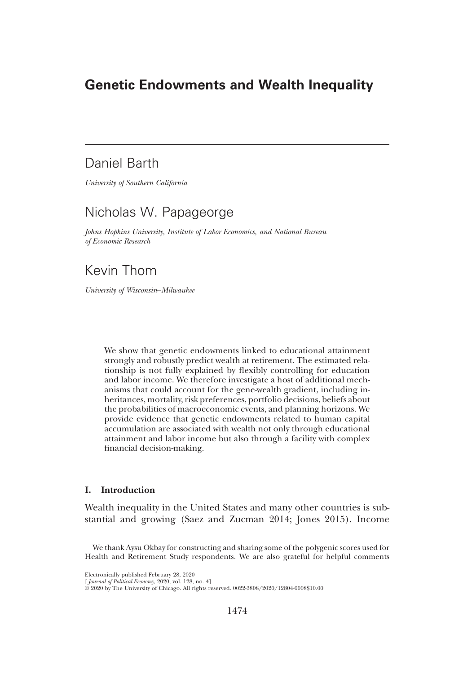# Genetic Endowments and Wealth Inequality

# Daniel Barth

*University of Southern California*

# Nicholas W. Papageorge

*Johns Hopkins University, Institute of Labor Economics, and National Bureau of Economic Research*

# Kevin Thom

*University of Wisconsin*–*Milwaukee*

We show that genetic endowments linked to educational attainment strongly and robustly predict wealth at retirement. The estimated relationship is not fully explained by flexibly controlling for education and labor income. We therefore investigate a host of additional mechanisms that could account for the gene-wealth gradient, including inheritances, mortality, risk preferences, portfolio decisions, beliefs about the probabilities of macroeconomic events, and planning horizons. We provide evidence that genetic endowments related to human capital accumulation are associated with wealth not only through educational attainment and labor income but also through a facility with complex financial decision-making.

# I. Introduction

Wealth inequality in the United States and many other countries is substantial and growing (Saez and Zucman 2014; Jones 2015). Income

We thank Aysu Okbay for constructing and sharing some of the polygenic scores used for Health and Retirement Study respondents. We are also grateful for helpful comments

Electronically published February 28, 2020

<sup>[</sup> *Journal of Political Economy*, 2020, vol. 128, no. 4] © 2020 by The University of Chicago. All rights reserved. 0022-3808/2020/12804-0008\$10.00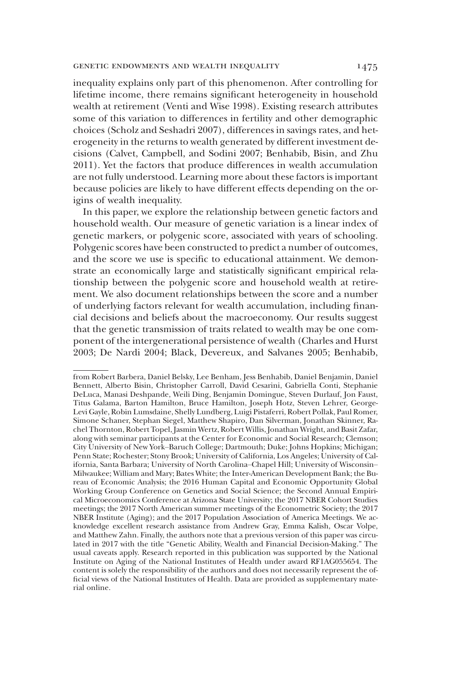## genetic endowments and wealth inequality 1475

inequality explains only part of this phenomenon. After controlling for lifetime income, there remains significant heterogeneity in household wealth at retirement (Venti and Wise 1998). Existing research attributes some of this variation to differences in fertility and other demographic choices (Scholz and Seshadri 2007), differences in savings rates, and heterogeneity in the returns to wealth generated by different investment decisions (Calvet, Campbell, and Sodini 2007; Benhabib, Bisin, and Zhu 2011). Yet the factors that produce differences in wealth accumulation are not fully understood. Learning more about these factors is important because policies are likely to have different effects depending on the origins of wealth inequality.

In this paper, we explore the relationship between genetic factors and household wealth. Our measure of genetic variation is a linear index of genetic markers, or polygenic score, associated with years of schooling. Polygenic scores have been constructed to predict a number of outcomes, and the score we use is specific to educational attainment. We demonstrate an economically large and statistically significant empirical relationship between the polygenic score and household wealth at retirement. We also document relationships between the score and a number of underlying factors relevant for wealth accumulation, including financial decisions and beliefs about the macroeconomy. Our results suggest that the genetic transmission of traits related to wealth may be one component of the intergenerational persistence of wealth (Charles and Hurst 2003; De Nardi 2004; Black, Devereux, and Salvanes 2005; Benhabib,

from Robert Barbera, Daniel Belsky, Lee Benham, Jess Benhabib, Daniel Benjamin, Daniel Bennett, Alberto Bisin, Christopher Carroll, David Cesarini, Gabriella Conti, Stephanie DeLuca, Manasi Deshpande, Weili Ding, Benjamin Domingue, Steven Durlauf, Jon Faust, Titus Galama, Barton Hamilton, Bruce Hamilton, Joseph Hotz, Steven Lehrer, George-Levi Gayle, Robin Lumsdaine, Shelly Lundberg, Luigi Pistaferri, Robert Pollak, Paul Romer, Simone Schaner, Stephan Siegel, Matthew Shapiro, Dan Silverman, Jonathan Skinner, Rachel Thornton, Robert Topel, Jasmin Wertz, Robert Willis, Jonathan Wright, and Basit Zafar, along with seminar participants at the Center for Economic and Social Research; Clemson; City University of New York–Baruch College; Dartmouth; Duke; Johns Hopkins; Michigan; Penn State; Rochester; Stony Brook; University of California, Los Angeles; University of California, Santa Barbara; University of North Carolina–Chapel Hill; University of Wisconsin– Milwaukee; William and Mary; Bates White; the Inter-American Development Bank; the Bureau of Economic Analysis; the 2016 Human Capital and Economic Opportunity Global Working Group Conference on Genetics and Social Science; the Second Annual Empirical Microeconomics Conference at Arizona State University; the 2017 NBER Cohort Studies meetings; the 2017 North American summer meetings of the Econometric Society; the 2017 NBER Institute (Aging); and the 2017 Population Association of America Meetings. We acknowledge excellent research assistance from Andrew Gray, Emma Kalish, Oscar Volpe, and Matthew Zahn. Finally, the authors note that a previous version of this paper was circulated in 2017 with the title "Genetic Ability, Wealth and Financial Decision-Making." The usual caveats apply. Research reported in this publication was supported by the National Institute on Aging of the National Institutes of Health under award RF1AG055654. The content is solely the responsibility of the authors and does not necessarily represent the official views of the National Institutes of Health. Data are provided as supplementary material online.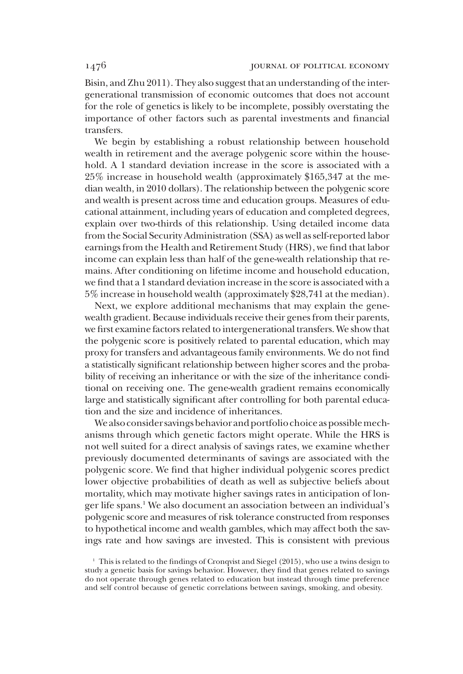Bisin, and Zhu 2011). They also suggest that an understanding of the intergenerational transmission of economic outcomes that does not account for the role of genetics is likely to be incomplete, possibly overstating the importance of other factors such as parental investments and financial transfers.

We begin by establishing a robust relationship between household wealth in retirement and the average polygenic score within the household. A 1 standard deviation increase in the score is associated with a 25% increase in household wealth (approximately \$165,347 at the median wealth, in 2010 dollars). The relationship between the polygenic score and wealth is present across time and education groups. Measures of educational attainment, including years of education and completed degrees, explain over two-thirds of this relationship. Using detailed income data from the Social Security Administration (SSA) as well as self-reported labor earnings from the Health and Retirement Study (HRS), we find that labor income can explain less than half of the gene-wealth relationship that remains. After conditioning on lifetime income and household education, we find that a 1 standard deviation increase in the score is associated with a 5% increase in household wealth (approximately \$28,741 at the median).

Next, we explore additional mechanisms that may explain the genewealth gradient. Because individuals receive their genes from their parents, we first examine factors related to intergenerational transfers. We show that the polygenic score is positively related to parental education, which may proxy for transfers and advantageous family environments. We do not find a statistically significant relationship between higher scores and the probability of receiving an inheritance or with the size of the inheritance conditional on receiving one. The gene-wealth gradient remains economically large and statistically significant after controlling for both parental education and the size and incidence of inheritances.

We also consider savings behavior and portfolio choice as possible mechanisms through which genetic factors might operate. While the HRS is not well suited for a direct analysis of savings rates, we examine whether previously documented determinants of savings are associated with the polygenic score. We find that higher individual polygenic scores predict lower objective probabilities of death as well as subjective beliefs about mortality, which may motivate higher savings rates in anticipation of longer life spans.<sup>1</sup> We also document an association between an individual's polygenic score and measures of risk tolerance constructed from responses to hypothetical income and wealth gambles, which may affect both the savings rate and how savings are invested. This is consistent with previous

<sup>&</sup>lt;sup>1</sup> This is related to the findings of Cronqvist and Siegel (2015), who use a twins design to study a genetic basis for savings behavior. However, they find that genes related to savings do not operate through genes related to education but instead through time preference and self control because of genetic correlations between savings, smoking, and obesity.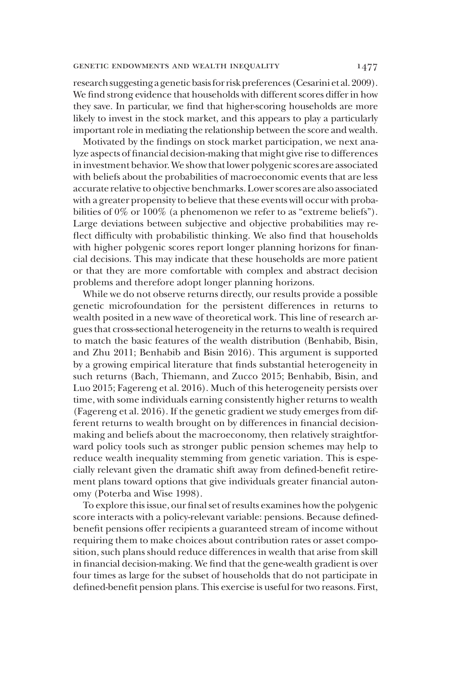research suggesting a genetic basis for risk preferences (Cesarini et al. 2009). We find strong evidence that households with different scores differ in how they save. In particular, we find that higher-scoring households are more likely to invest in the stock market, and this appears to play a particularly

important role in mediating the relationship between the score and wealth.

Motivated by the findings on stock market participation, we next analyze aspects of financial decision-making that might give rise to differences in investment behavior. We show that lower polygenic scores are associated with beliefs about the probabilities of macroeconomic events that are less accurate relative to objective benchmarks. Lower scores are also associated with a greater propensity to believe that these events will occur with probabilities of 0% or 100% (a phenomenon we refer to as "extreme beliefs"). Large deviations between subjective and objective probabilities may reflect difficulty with probabilistic thinking. We also find that households with higher polygenic scores report longer planning horizons for financial decisions. This may indicate that these households are more patient or that they are more comfortable with complex and abstract decision problems and therefore adopt longer planning horizons.

While we do not observe returns directly, our results provide a possible genetic microfoundation for the persistent differences in returns to wealth posited in a new wave of theoretical work. This line of research argues that cross-sectional heterogeneity in the returns to wealth is required to match the basic features of the wealth distribution (Benhabib, Bisin, and Zhu 2011; Benhabib and Bisin 2016). This argument is supported by a growing empirical literature that finds substantial heterogeneity in such returns (Bach, Thiemann, and Zucco 2015; Benhabib, Bisin, and Luo 2015; Fagereng et al. 2016). Much of this heterogeneity persists over time, with some individuals earning consistently higher returns to wealth (Fagereng et al. 2016). If the genetic gradient we study emerges from different returns to wealth brought on by differences in financial decisionmaking and beliefs about the macroeconomy, then relatively straightforward policy tools such as stronger public pension schemes may help to reduce wealth inequality stemming from genetic variation. This is especially relevant given the dramatic shift away from defined-benefit retirement plans toward options that give individuals greater financial autonomy (Poterba and Wise 1998).

To explore this issue, our final set of results examines how the polygenic score interacts with a policy-relevant variable: pensions. Because definedbenefit pensions offer recipients a guaranteed stream of income without requiring them to make choices about contribution rates or asset composition, such plans should reduce differences in wealth that arise from skill in financial decision-making. We find that the gene-wealth gradient is over four times as large for the subset of households that do not participate in defined-benefit pension plans. This exercise is useful for two reasons. First,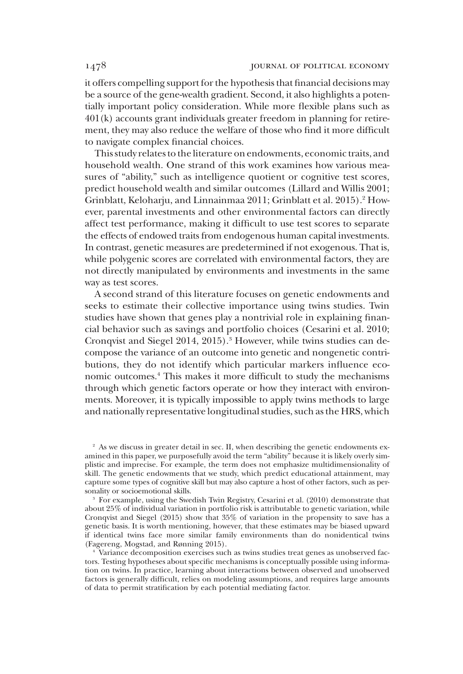it offers compelling support for the hypothesis that financial decisions may be a source of the gene-wealth gradient. Second, it also highlights a potentially important policy consideration. While more flexible plans such as 401(k) accounts grant individuals greater freedom in planning for retirement, they may also reduce the welfare of those who find it more difficult to navigate complex financial choices.

This study relates to the literature on endowments, economic traits, and household wealth. One strand of this work examines how various measures of "ability," such as intelligence quotient or cognitive test scores, predict household wealth and similar outcomes (Lillard and Willis 2001; Grinblatt, Keloharju, and Linnainmaa 2011; Grinblatt et al. 2015).<sup>2</sup> However, parental investments and other environmental factors can directly affect test performance, making it difficult to use test scores to separate the effects of endowed traits from endogenous human capital investments. In contrast, genetic measures are predetermined if not exogenous. That is, while polygenic scores are correlated with environmental factors, they are not directly manipulated by environments and investments in the same way as test scores.

A second strand of this literature focuses on genetic endowments and seeks to estimate their collective importance using twins studies. Twin studies have shown that genes play a nontrivial role in explaining financial behavior such as savings and portfolio choices (Cesarini et al. 2010; Cronqvist and Siegel 2014, 2015).<sup>3</sup> However, while twins studies can decompose the variance of an outcome into genetic and nongenetic contributions, they do not identify which particular markers influence economic outcomes.<sup>4</sup> This makes it more difficult to study the mechanisms through which genetic factors operate or how they interact with environments. Moreover, it is typically impossible to apply twins methods to large and nationally representative longitudinal studies, such as the HRS, which

<sup>2</sup> As we discuss in greater detail in sec. II, when describing the genetic endowments examined in this paper, we purposefully avoid the term "ability" because it is likely overly simplistic and imprecise. For example, the term does not emphasize multidimensionality of skill. The genetic endowments that we study, which predict educational attainment, may capture some types of cognitive skill but may also capture a host of other factors, such as personality or socioemotional skills.

<sup>3</sup> For example, using the Swedish Twin Registry, Cesarini et al. (2010) demonstrate that about 25% of individual variation in portfolio risk is attributable to genetic variation, while Cronqvist and Siegel (2015) show that 35% of variation in the propensity to save has a genetic basis. It is worth mentioning, however, that these estimates may be biased upward if identical twins face more similar family environments than do nonidentical twins (Fagereng, Mogstad, and Rønning 2015).

Variance decomposition exercises such as twins studies treat genes as unobserved factors. Testing hypotheses about specific mechanisms is conceptually possible using information on twins. In practice, learning about interactions between observed and unobserved factors is generally difficult, relies on modeling assumptions, and requires large amounts of data to permit stratification by each potential mediating factor.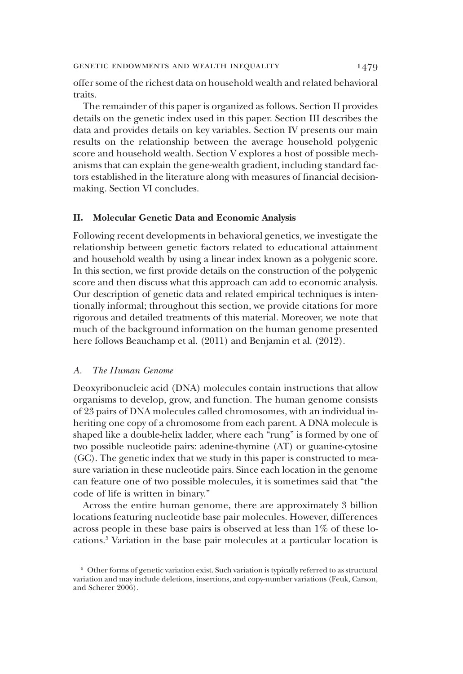offer some of the richest data on household wealth and related behavioral traits.

The remainder of this paper is organized as follows. Section II provides details on the genetic index used in this paper. Section III describes the data and provides details on key variables. Section IV presents our main results on the relationship between the average household polygenic score and household wealth. Section V explores a host of possible mechanisms that can explain the gene-wealth gradient, including standard factors established in the literature along with measures of financial decisionmaking. Section VI concludes.

# II. Molecular Genetic Data and Economic Analysis

Following recent developments in behavioral genetics, we investigate the relationship between genetic factors related to educational attainment and household wealth by using a linear index known as a polygenic score. In this section, we first provide details on the construction of the polygenic score and then discuss what this approach can add to economic analysis. Our description of genetic data and related empirical techniques is intentionally informal; throughout this section, we provide citations for more rigorous and detailed treatments of this material. Moreover, we note that much of the background information on the human genome presented here follows Beauchamp et al. (2011) and Benjamin et al. (2012).

#### *A. The Human Genome*

Deoxyribonucleic acid (DNA) molecules contain instructions that allow organisms to develop, grow, and function. The human genome consists of 23 pairs of DNA molecules called chromosomes, with an individual inheriting one copy of a chromosome from each parent. A DNA molecule is shaped like a double-helix ladder, where each "rung" is formed by one of two possible nucleotide pairs: adenine-thymine (AT) or guanine-cytosine (GC). The genetic index that we study in this paper is constructed to measure variation in these nucleotide pairs. Since each location in the genome can feature one of two possible molecules, it is sometimes said that "the code of life is written in binary."

Across the entire human genome, there are approximately 3 billion locations featuring nucleotide base pair molecules. However, differences across people in these base pairs is observed at less than 1% of these locations.<sup>5</sup> Variation in the base pair molecules at a particular location is

<sup>&</sup>lt;sup>5</sup> Other forms of genetic variation exist. Such variation is typically referred to as structural variation and may include deletions, insertions, and copy-number variations (Feuk, Carson, and Scherer 2006).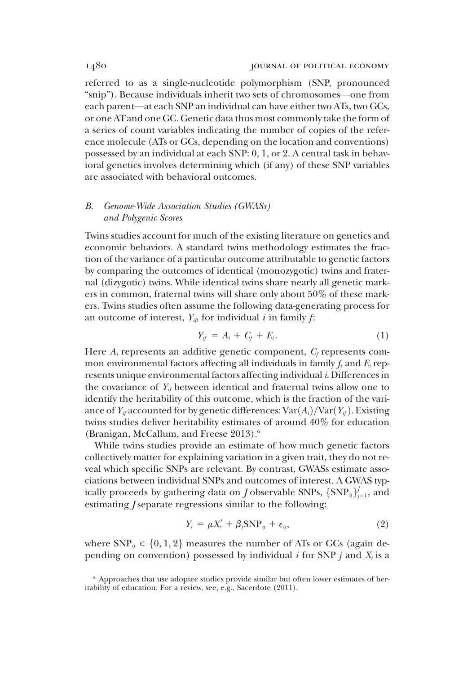referred to as a single-nucleotide polymorphism (SNP, pronounced "snip"). Because individuals inherit two sets of chromosomes—one from each parent—at each SNP an individual can have either two ATs, two GCs, or one ATand one GC. Genetic data thus most commonly take the form of a series of count variables indicating the number of copies of the reference molecule (ATs or GCs, depending on the location and conventions) possessed by an individual at each SNP: 0, 1, or 2. A central task in behavioral genetics involves determining which (if any) of these SNP variables are associated with behavioral outcomes.

# *B. Genome-Wide Association Studies (GWASs) and Polygenic Scores*

Twins studies account for much of the existing literature on genetics and economic behaviors. A standard twins methodology estimates the fraction of the variance of a particular outcome attributable to genetic factors by comparing the outcomes of identical (monozygotic) twins and fraternal (dizygotic) twins. While identical twins share nearly all genetic markers in common, fraternal twins will share only about 50% of these markers. Twins studies often assume the following data-generating process for an outcome of interest,  $Y_{i\beta}$  for individual *i* in family *f*:

$$
Y_{if} = A_i + C_f + E_i. \tag{1}
$$

Here  $A_i$  represents an additive genetic component,  $C_f$  represents common environmental factors affecting all individuals in family *f*, and *E<sup>i</sup>* represents unique environmental factors affecting individual *i*. Differences in the covariance of  $Y_{if}$  between identical and fraternal twins allow one to identify the heritability of this outcome, which is the fraction of the variance of  $Y_i$  accounted for by genetic differences:  $Var(A_i)/Var(Y_i)$ . Existing twins studies deliver heritability estimates of around 40% for education (Branigan, McCallum, and Freese 2013).<sup>6</sup>

While twins studies provide an estimate of how much genetic factors collectively matter for explaining variation in a given trait, they do not reveal which specific SNPs are relevant. By contrast, GWASs estimate associations between individual SNPs and outcomes of interest. A GWAS typically proceeds by gathering data on *J* observable SNPs,  $\{\mathrm{SNP}_j\}_{j=1}^J,$  and estimating *J* separate regressions similar to the following:

$$
Y_i = \mu X'_i + \beta_j \text{SNP}_{ij} + \epsilon_{ij}, \qquad (2)
$$

where  $SNP_{ij} \in \{0, 1, 2\}$  measures the number of ATs or GCs (again depending on convention) possessed by individual *i* for SNP *j* and *X<sup>i</sup>* is a

<sup>&</sup>lt;sup>6</sup> Approaches that use adoptee studies provide similar but often lower estimates of heritability of education. For a review, see, e.g., Sacerdote (2011).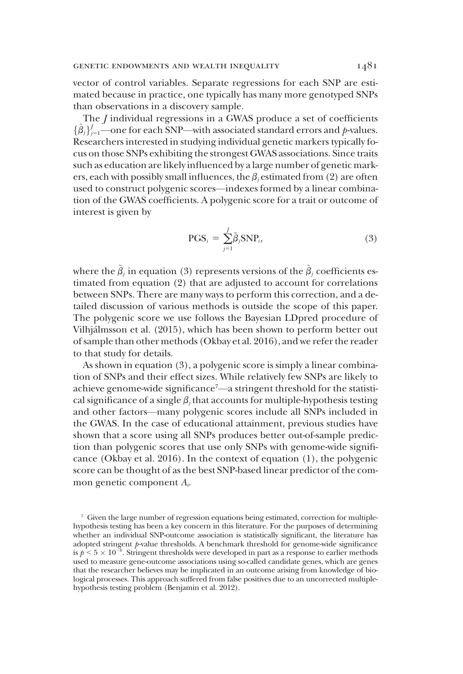vector of control variables. Separate regressions for each SNP are estimated because in practice, one typically has many more genotyped SNPs than observations in a discovery sample.

The *J* individual regressions in a GWAS produce a set of coefficients  $\{\hat{\beta}_j\}_{j=1}^J$  —one for each SNP—with associated standard errors and *p*-values. Researchers interested in studying individual genetic markers typically focus on those SNPs exhibiting the strongest GWAS associations. Since traits such as education are likely influenced by a large number of genetic markers, each with possibly small influences, the  $\beta_i$  estimated from (2) are often used to construct polygenic scores—indexes formed by a linear combination of the GWAS coefficients. A polygenic score for a trait or outcome of interest is given by

$$
PGS_i = \sum_{j=1}^{J} \tilde{\beta}_j \text{SNP}_i,\tag{3}
$$

where the  $\tilde{\beta}_j$  in equation (3) represents versions of the  $\hat{\beta}_j$  coefficients estimated from equation (2) that are adjusted to account for correlations between SNPs. There are many ways to perform this correction, and a detailed discussion of various methods is outside the scope of this paper. The polygenic score we use follows the Bayesian LDpred procedure of Vilhjálmsson et al. (2015), which has been shown to perform better out of sample than other methods (Okbay et al. 2016), and we refer the reader to that study for details.

As shown in equation (3), a polygenic score is simply a linear combination of SNPs and their effect sizes. While relatively few SNPs are likely to achieve genome-wide significance<sup>7</sup>—a stringent threshold for the statistical significance of a single  $\beta$  that accounts for multiple-hypothesis testing and other factors—many polygenic scores include all SNPs included in the GWAS. In the case of educational attainment, previous studies have shown that a score using all SNPs produces better out-of-sample prediction than polygenic scores that use only SNPs with genome-wide significance (Okbay et al. 2016). In the context of equation (1), the polygenic score can be thought of as the best SNP-based linear predictor of the common genetic component *A<sup>i</sup>* .

<sup>7</sup> Given the large number of regression equations being estimated, correction for multiplehypothesis testing has been a key concern in this literature. For the purposes of determining whether an individual SNP-outcome association is statistically significant, the literature has adopted stringent *p*-value thresholds. A benchmark threshold for genome-wide significance is  $p < 5 \times 10^{-8}$ . Stringent thresholds were developed in part as a response to earlier methods used to measure gene-outcome associations using so-called candidate genes, which are genes that the researcher believes may be implicated in an outcome arising from knowledge of biological processes. This approach suffered from false positives due to an uncorrected multiplehypothesis testing problem (Benjamin et al. 2012).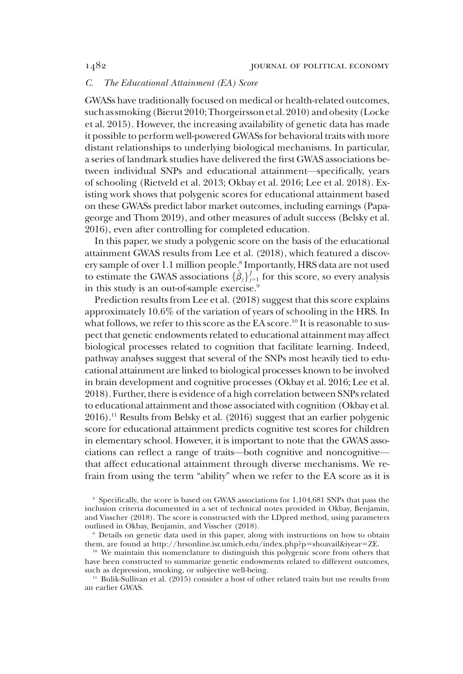# *C. The Educational Attainment (EA) Score*

GWASs have traditionally focused on medical or health-related outcomes, such as smoking (Bierut 2010;Thorgeirsson etal. 2010) and obesity (Locke et al. 2015). However, the increasing availability of genetic data has made it possible to perform well-powered GWASs for behavioral traits with more distant relationships to underlying biological mechanisms. In particular, a series of landmark studies have delivered the first GWAS associations between individual SNPs and educational attainment—specifically, years of schooling (Rietveld et al. 2013; Okbay et al. 2016; Lee et al. 2018). Existing work shows that polygenic scores for educational attainment based on these GWASs predict labor market outcomes, including earnings (Papageorge and Thom 2019), and other measures of adult success (Belsky et al. 2016), even after controlling for completed education.

In this paper, we study a polygenic score on the basis of the educational attainment GWAS results from Lee et al. (2018), which featured a discovery sample of over 1.1 million people.<sup>8</sup> Importantly, HRS data are not used to estimate the GWAS associations  $\{\hat{\beta}_j\}_{j=1}^J$  for this score, so every analysis in this study is an out-of-sample exercise.<sup>9</sup>

Prediction results from Lee et al. (2018) suggest that this score explains approximately 10.6% of the variation of years of schooling in the HRS. In what follows, we refer to this score as the EA score.<sup>10</sup> It is reasonable to suspect that genetic endowments related to educational attainment may affect biological processes related to cognition that facilitate learning. Indeed, pathway analyses suggest that several of the SNPs most heavily tied to educational attainment are linked to biological processes known to be involved in brain development and cognitive processes (Okbay et al. 2016; Lee et al. 2018). Further, there is evidence of a high correlation between SNPs related to educational attainment and those associated with cognition (Okbay et al. 2016).<sup>11</sup> Results from Belsky et al. (2016) suggest that an earlier polygenic score for educational attainment predicts cognitive test scores for children in elementary school. However, it is important to note that the GWAS associations can reflect a range of traits—both cognitive and noncognitive that affect educational attainment through diverse mechanisms. We refrain from using the term "ability" when we refer to the EA score as it is

<sup>10</sup> We maintain this nomenclature to distinguish this polygenic score from others that have been constructed to summarize genetic endowments related to different outcomes, such as depression, smoking, or subjective well-being.

 $11$  Bulik-Sullivan et al. (2015) consider a host of other related traits but use results from an earlier GWAS.

<sup>8</sup> Specifically, the score is based on GWAS associations for 1,104,681 SNPs that pass the inclusion criteria documented in a set of technical notes provided in Okbay, Benjamin, and Visscher (2018). The score is constructed with the LDpred method, using parameters outlined in Okbay, Benjamin, and Visscher (2018).

<sup>9</sup> Details on genetic data used in this paper, along with instructions on how to obtain them, are found at http://hrsonline.isr.umich.edu/index.php?p=shoavail&iyear=ZE.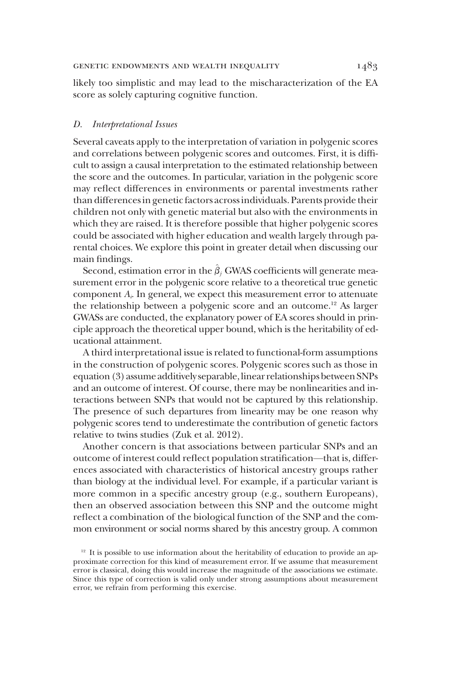likely too simplistic and may lead to the mischaracterization of the EA score as solely capturing cognitive function.

# *D. Interpretational Issues*

Several caveats apply to the interpretation of variation in polygenic scores and correlations between polygenic scores and outcomes. First, it is difficult to assign a causal interpretation to the estimated relationship between the score and the outcomes. In particular, variation in the polygenic score may reflect differences in environments or parental investments rather than differencesin genetic factors acrossindividuals. Parents provide their children not only with genetic material but also with the environments in which they are raised. It is therefore possible that higher polygenic scores could be associated with higher education and wealth largely through parental choices. We explore this point in greater detail when discussing our main findings.

Second, estimation error in the  $\hat{\beta}_i$  GWAS coefficients will generate measurement error in the polygenic score relative to a theoretical true genetic component *A<sup>i</sup>* . In general, we expect this measurement error to attenuate the relationship between a polygenic score and an outcome.<sup>12</sup> As larger GWASs are conducted, the explanatory power of EA scores should in principle approach the theoretical upper bound, which is the heritability of educational attainment.

A third interpretational issue is related to functional-form assumptions in the construction of polygenic scores. Polygenic scores such as those in equation (3) assume additively separable, linear relationships between SNPs and an outcome of interest. Of course, there may be nonlinearities and interactions between SNPs that would not be captured by this relationship. The presence of such departures from linearity may be one reason why polygenic scores tend to underestimate the contribution of genetic factors relative to twins studies (Zuk et al. 2012).

Another concern is that associations between particular SNPs and an outcome of interest could reflect population stratification—that is, differences associated with characteristics of historical ancestry groups rather than biology at the individual level. For example, if a particular variant is more common in a specific ancestry group (e.g., southern Europeans), then an observed association between this SNP and the outcome might reflect a combination of the biological function of the SNP and the common environment or social norms shared by this ancestry group. A common

 $12$  It is possible to use information about the heritability of education to provide an approximate correction for this kind of measurement error. If we assume that measurement error is classical, doing this would increase the magnitude of the associations we estimate. Since this type of correction is valid only under strong assumptions about measurement error, we refrain from performing this exercise.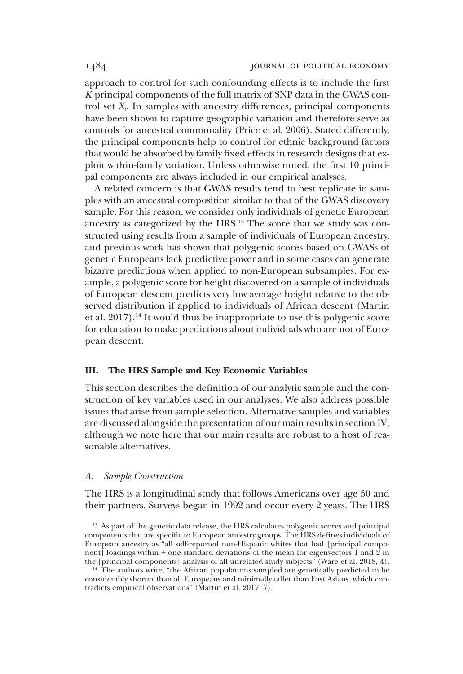approach to control for such confounding effects is to include the first *K* principal components of the full matrix of SNP data in the GWAS control set *X<sup>i</sup>* . In samples with ancestry differences, principal components have been shown to capture geographic variation and therefore serve as controls for ancestral commonality (Price et al. 2006). Stated differently, the principal components help to control for ethnic background factors that would be absorbed by family fixed effects in research designs that exploit within-family variation. Unless otherwise noted, the first 10 principal components are always included in our empirical analyses.

A related concern is that GWAS results tend to best replicate in samples with an ancestral composition similar to that of the GWAS discovery sample. For this reason, we consider only individuals of genetic European ancestry as categorized by the HRS.<sup>13</sup> The score that we study was constructed using results from a sample of individuals of European ancestry, and previous work has shown that polygenic scores based on GWASs of genetic Europeans lack predictive power and in some cases can generate bizarre predictions when applied to non-European subsamples. For example, a polygenic score for height discovered on a sample of individuals of European descent predicts very low average height relative to the observed distribution if applied to individuals of African descent (Martin et al. 2017).<sup>14</sup> It would thus be inappropriate to use this polygenic score for education to make predictions about individuals who are not of European descent.

## III. The HRS Sample and Key Economic Variables

This section describes the definition of our analytic sample and the construction of key variables used in our analyses. We also address possible issues that arise from sample selection. Alternative samples and variables are discussed alongside the presentation of our main results in section IV, although we note here that our main results are robust to a host of reasonable alternatives.

### *A. Sample Construction*

The HRS is a longitudinal study that follows Americans over age 50 and their partners. Surveys began in 1992 and occur every 2 years. The HRS

<sup>&</sup>lt;sup>13</sup> As part of the genetic data release, the HRS calculates polygenic scores and principal components that are specific to European ancestry groups. The HRS defines individuals of European ancestry as "all self-reported non-Hispanic whites that had [principal component] loadings within  $\pm$  one standard deviations of the mean for eigenvectors 1 and 2 in the [principal components] analysis of all unrelated study subjects" (Ware et al. 2018, 4).

<sup>&</sup>lt;sup>14</sup> The authors write, "the African populations sampled are genetically predicted to be considerably shorter than all Europeans and minimally taller than East Asians, which contradicts empirical observations" (Martin et al. 2017, 7).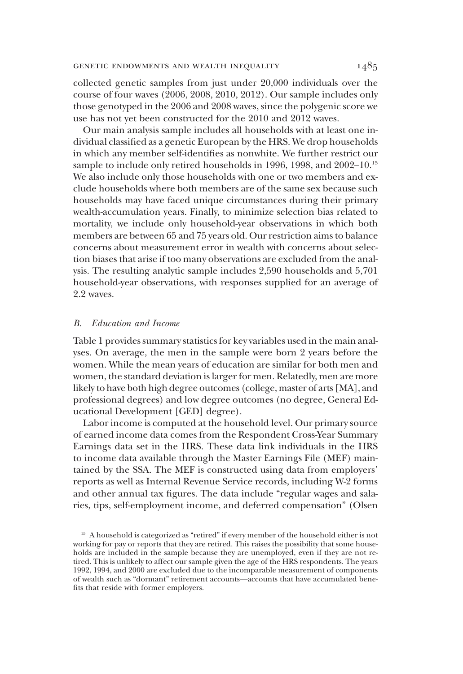collected genetic samples from just under 20,000 individuals over the course of four waves (2006, 2008, 2010, 2012). Our sample includes only those genotyped in the 2006 and 2008 waves, since the polygenic score we use has not yet been constructed for the 2010 and 2012 waves.

Our main analysis sample includes all households with at least one individual classified as a genetic European by the HRS. We drop households in which any member self-identifies as nonwhite. We further restrict our sample to include only retired households in 1996, 1998, and 2002–10.<sup>15</sup> We also include only those households with one or two members and exclude households where both members are of the same sex because such households may have faced unique circumstances during their primary wealth-accumulation years. Finally, to minimize selection bias related to mortality, we include only household-year observations in which both members are between 65 and 75 years old. Our restriction aims to balance concerns about measurement error in wealth with concerns about selection biases that arise if too many observations are excluded from the analysis. The resulting analytic sample includes 2,590 households and 5,701 household-year observations, with responses supplied for an average of 2.2 waves.

# *B. Education and Income*

Table 1 provides summary statistics for key variables used in the main analyses. On average, the men in the sample were born 2 years before the women. While the mean years of education are similar for both men and women, the standard deviation is larger for men. Relatedly, men are more likely to have both high degree outcomes (college, master of arts [MA], and professional degrees) and low degree outcomes (no degree, General Educational Development [GED] degree).

Labor income is computed at the household level. Our primary source of earned income data comes from the Respondent Cross-Year Summary Earnings data set in the HRS. These data link individuals in the HRS to income data available through the Master Earnings File (MEF) maintained by the SSA. The MEF is constructed using data from employers' reports as well as Internal Revenue Service records, including W-2 forms and other annual tax figures. The data include "regular wages and salaries, tips, self-employment income, and deferred compensation" (Olsen

<sup>&</sup>lt;sup>15</sup> A household is categorized as "retired" if every member of the household either is not working for pay or reports that they are retired. This raises the possibility that some households are included in the sample because they are unemployed, even if they are not retired. This is unlikely to affect our sample given the age of the HRS respondents. The years 1992, 1994, and 2000 are excluded due to the incomparable measurement of components of wealth such as "dormant" retirement accounts—accounts that have accumulated benefits that reside with former employers.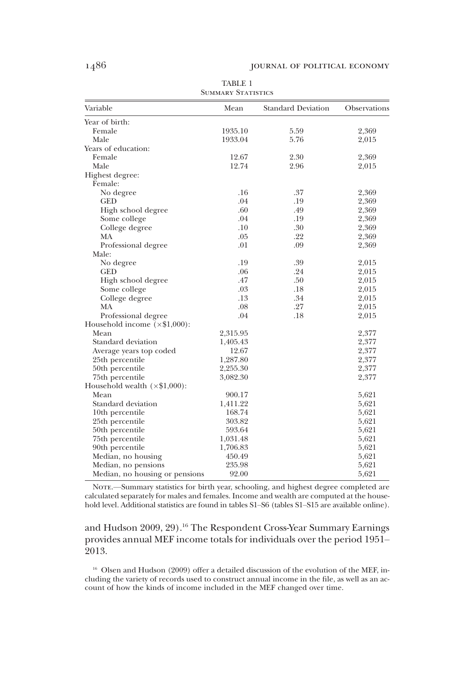|                                       | <b>SUMMARY STATISTICS</b> |                           |              |
|---------------------------------------|---------------------------|---------------------------|--------------|
| Variable                              | Mean                      | <b>Standard Deviation</b> | Observations |
| Year of birth:                        |                           |                           |              |
| Female                                | 1935.10                   | 5.59                      | 2,369        |
| Male                                  | 1933.04                   | 5.76                      | 2,015        |
| Years of education:                   |                           |                           |              |
| Female                                | 12.67                     | 2.30                      | 2,369        |
| Male                                  | 12.74                     | 2.96                      | 2,015        |
| Highest degree:                       |                           |                           |              |
| Female:                               |                           |                           |              |
| No degree                             | .16                       | .37                       | 2,369        |
| <b>GED</b>                            | .04                       | .19                       | 2,369        |
| High school degree                    | .60                       | .49                       | 2,369        |
| Some college                          | .04                       | .19                       | 2,369        |
| College degree                        | .10                       | .30                       | 2,369        |
| МA                                    | .05                       | .22                       | 2,369        |
| Professional degree                   | .01                       | .09                       | 2,369        |
| Male:                                 |                           |                           |              |
| No degree                             | .19                       | .39                       | 2,015        |
| <b>GED</b>                            | .06                       | .24                       | 2,015        |
| High school degree                    | .47                       | .50                       | 2,015        |
| Some college                          | .03                       | .18                       | 2,015        |
| College degree                        | .13                       | .34                       | 2,015        |
| MA                                    | .08                       | .27                       | 2,015        |
| Professional degree                   | .04                       | .18                       | 2,015        |
| Household income $(\times \$1,000)$ : |                           |                           |              |
| Mean                                  | 2,315.95                  |                           | 2,377        |
| Standard deviation                    | 1,405.43                  |                           | 2,377        |
| Average years top coded               | 12.67                     |                           | 2,377        |
| 25th percentile                       | 1,287.80                  |                           | 2,377        |
| 50th percentile                       | 2,255.30                  |                           | 2,377        |
| 75th percentile                       | 3,082.30                  |                           | 2,377        |
| Household wealth $(\times \$1,000)$ : |                           |                           |              |
| Mean                                  | 900.17                    |                           | 5,621        |
| Standard deviation                    | 1,411.22                  |                           | 5,621        |
| 10th percentile                       | 168.74                    |                           | 5,621        |
| 25th percentile                       | 303.82                    |                           | 5,621        |
| 50th percentile                       | 593.64                    |                           | 5,621        |
| 75th percentile                       | 1,031.48                  |                           | 5,621        |
| 90th percentile                       | 1,706.83                  |                           | 5,621        |
| Median, no housing                    | 450.49                    |                           | 5,621        |
| Median, no pensions                   | 235.98                    |                           | 5,621        |
| Median, no housing or pensions        | 92.00                     |                           | 5,621        |

TABLE 1 Summary Statistics

NOTE.—Summary statistics for birth year, schooling, and highest degree completed are calculated separately for males and females. Income and wealth are computed at the household level. Additional statistics are found in tables S1–S6 (tables S1–S15 are available online).

and Hudson 2009, 29).<sup>16</sup> The Respondent Cross-Year Summary Earnings provides annual MEF income totals for individuals over the period 1951– 2013.

<sup>16</sup> Olsen and Hudson (2009) offer a detailed discussion of the evolution of the MEF, including the variety of records used to construct annual income in the file, as well as an account of how the kinds of income included in the MEF changed over time.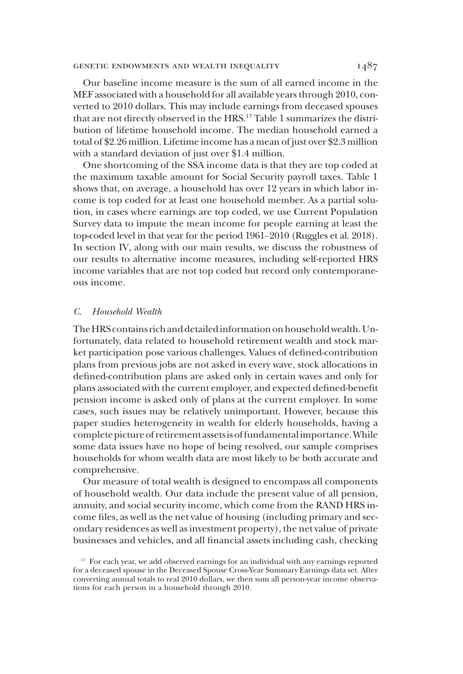#### GENETIC ENDOWMENTS AND WEALTH INEQUALITY 1487

Our baseline income measure is the sum of all earned income in the MEF associated with a household for all available years through 2010, converted to 2010 dollars. This may include earnings from deceased spouses that are not directly observed in the HRS.<sup>17</sup> Table 1 summarizes the distribution of lifetime household income. The median household earned a total of \$2.26 million. Lifetime income has a mean of just over \$2.3 million with a standard deviation of just over \$1.4 million.

One shortcoming of the SSA income data is that they are top coded at the maximum taxable amount for Social Security payroll taxes. Table 1 shows that, on average, a household has over 12 years in which labor income is top coded for at least one household member. As a partial solution, in cases where earnings are top coded, we use Current Population Survey data to impute the mean income for people earning at least the top-coded level in that year for the period 1961–2010 (Ruggles et al. 2018). In section IV, along with our main results, we discuss the robustness of our results to alternative income measures, including self-reported HRS income variables that are not top coded but record only contemporaneous income.

# *C. Household Wealth*

TheHRS contains rich anddetailedinformation onhouseholdwealth.Unfortunately, data related to household retirement wealth and stock market participation pose various challenges. Values of defined-contribution plans from previous jobs are not asked in every wave, stock allocations in defined-contribution plans are asked only in certain waves and only for plans associated with the current employer, and expected defined-benefit pension income is asked only of plans at the current employer. In some cases, such issues may be relatively unimportant. However, because this paper studies heterogeneity in wealth for elderly households, having a complete picture of retirement assets is of fundamental importance. While some data issues have no hope of being resolved, our sample comprises households for whom wealth data are most likely to be both accurate and comprehensive.

Our measure of total wealth is designed to encompass all components of household wealth. Our data include the present value of all pension, annuity, and social security income, which come from the RAND HRS income files, as well as the net value of housing (including primary and secondary residences as well as investment property), the net value of private businesses and vehicles, and all financial assets including cash, checking

<sup>&</sup>lt;sup>17</sup> For each year, we add observed earnings for an individual with any earnings reported for a deceased spouse in the Deceased Spouse Cross-Year Summary Earnings data set. After converting annual totals to real 2010 dollars, we then sum all person-year income observations for each person in a household through 2010.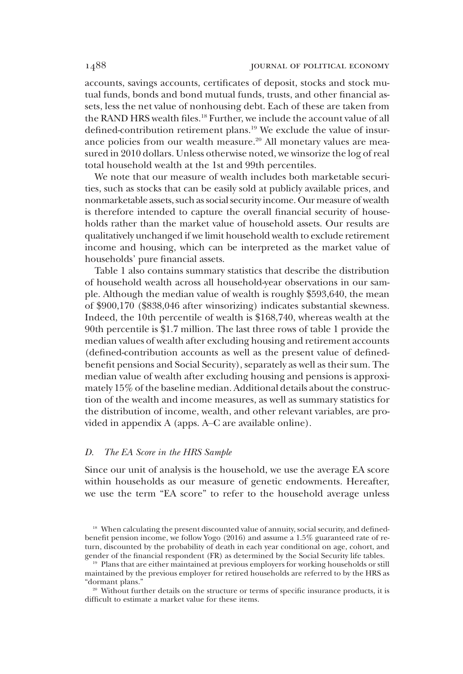accounts, savings accounts, certificates of deposit, stocks and stock mutual funds, bonds and bond mutual funds, trusts, and other financial assets, less the net value of nonhousing debt. Each of these are taken from the RAND HRS wealth files.<sup>18</sup> Further, we include the account value of all defined-contribution retirement plans.<sup>19</sup> We exclude the value of insurance policies from our wealth measure.<sup>20</sup> All monetary values are measured in 2010 dollars. Unless otherwise noted, we winsorize the log of real total household wealth at the 1st and 99th percentiles.

We note that our measure of wealth includes both marketable securities, such as stocks that can be easily sold at publicly available prices, and nonmarketable assets, such as social security income. Our measure of wealth is therefore intended to capture the overall financial security of households rather than the market value of household assets. Our results are qualitatively unchanged if we limit household wealth to exclude retirement income and housing, which can be interpreted as the market value of households' pure financial assets.

Table 1 also contains summary statistics that describe the distribution of household wealth across all household-year observations in our sample. Although the median value of wealth is roughly \$593,640, the mean of \$900,170 (\$838,046 after winsorizing) indicates substantial skewness. Indeed, the 10th percentile of wealth is \$168,740, whereas wealth at the 90th percentile is \$1.7 million. The last three rows of table 1 provide the median values of wealth after excluding housing and retirement accounts (defined-contribution accounts as well as the present value of definedbenefit pensions and Social Security), separately as well as their sum. The median value of wealth after excluding housing and pensions is approximately 15% of the baseline median. Additional details about the construction of the wealth and income measures, as well as summary statistics for the distribution of income, wealth, and other relevant variables, are provided in appendix A (apps. A–C are available online).

#### *D. The EA Score in the HRS Sample*

Since our unit of analysis is the household, we use the average EA score within households as our measure of genetic endowments. Hereafter, we use the term "EA score" to refer to the household average unless

<sup>&</sup>lt;sup>18</sup> When calculating the present discounted value of annuity, social security, and definedbenefit pension income, we follow Yogo (2016) and assume a 1.5% guaranteed rate of return, discounted by the probability of death in each year conditional on age, cohort, and gender of the financial respondent (FR) as determined by the Social Security life tables.

<sup>&</sup>lt;sup>19</sup> Plans that are either maintained at previous employers for working households or still maintained by the previous employer for retired households are referred to by the HRS as "dormant plans."

<sup>&</sup>lt;sup>20</sup> Without further details on the structure or terms of specific insurance products, it is difficult to estimate a market value for these items.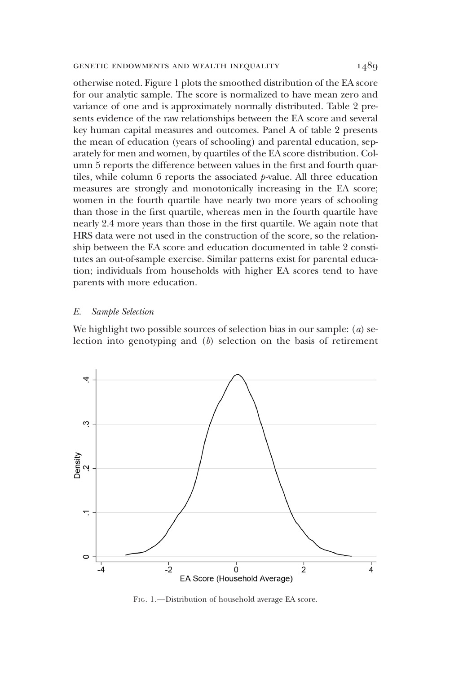otherwise noted. Figure 1 plots the smoothed distribution of the EA score for our analytic sample. The score is normalized to have mean zero and variance of one and is approximately normally distributed. Table 2 presents evidence of the raw relationships between the EA score and several key human capital measures and outcomes. Panel A of table 2 presents the mean of education (years of schooling) and parental education, separately for men and women, by quartiles of the EA score distribution. Column 5 reports the difference between values in the first and fourth quartiles, while column 6 reports the associated *p*-value. All three education measures are strongly and monotonically increasing in the EA score; women in the fourth quartile have nearly two more years of schooling than those in the first quartile, whereas men in the fourth quartile have nearly 2.4 more years than those in the first quartile. We again note that HRS data were not used in the construction of the score, so the relationship between the EA score and education documented in table 2 constitutes an out-of-sample exercise. Similar patterns exist for parental education; individuals from households with higher EA scores tend to have parents with more education.

#### *E. Sample Selection*

We highlight two possible sources of selection bias in our sample: (*a*) selection into genotyping and (*b*) selection on the basis of retirement



FIG. 1.—Distribution of household average EA score.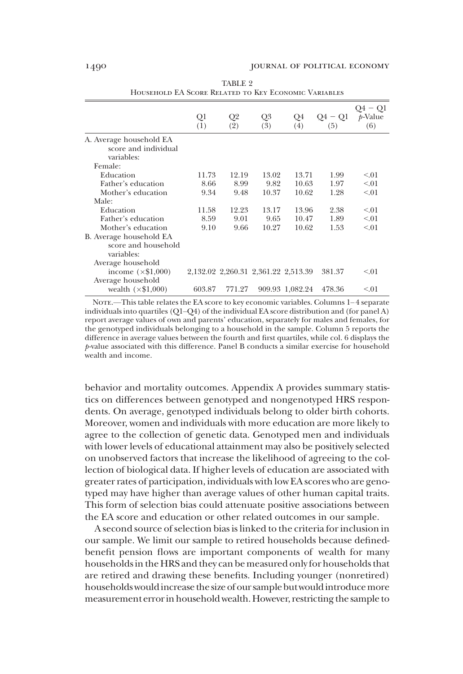|                                                                          | Ql<br>(1) | Q2<br>(2) | Q3<br>(3)                           | Q4<br>(4)       | $Q_4 - Q_1$<br>(5) | Q<br>$p$ -Value<br>(6) |
|--------------------------------------------------------------------------|-----------|-----------|-------------------------------------|-----------------|--------------------|------------------------|
| A. Average household EA<br>score and individual<br>variables:<br>Female: |           |           |                                     |                 |                    |                        |
| Education                                                                | 11.73     | 12.19     | 13.02                               | 13.71           | 1.99               | < 01                   |
| Father's education                                                       | 8.66      | 8.99      | 9.82                                | 10.63           | 1.97               | < 01                   |
| Mother's education                                                       | 9.34      | 9.48      | 10.37                               | 10.62           | 1.28               | < 01                   |
| Male:                                                                    |           |           |                                     |                 |                    |                        |
| Education                                                                | 11.58     | 12.23     | 13.17                               | 13.96           | 2.38               | < 01                   |
| Father's education                                                       | 8.59      | 9.01      | 9.65                                | 10.47           | 1.89               | < 01                   |
| Mother's education                                                       | 9.10      | 9.66      | 10.27                               | 10.62           | 1.53               | < 01                   |
| B. Average household EA<br>score and household<br>variables:             |           |           |                                     |                 |                    |                        |
| Average household                                                        |           |           |                                     |                 |                    |                        |
| income $(\times \$1,000)$                                                |           |           | 2,132.02 2,260.31 2,361.22 2,513.39 |                 | 381.37             | < 01                   |
| Average household                                                        |           |           |                                     |                 |                    |                        |
| wealth $(\times \$1,000)$                                                | 603.87    | 771.27    |                                     | 909.93 1,082.24 | 478.36             | < 01                   |

TABLE 2 Household EA Score Related to Key Economic Variables

NOTE.—This table relates the EA score to key economic variables. Columns 1–4 separate individuals into quartiles (Q1–Q4) of the individual EA score distribution and (for panel A) report average values of own and parents' education, separately for males and females, for the genotyped individuals belonging to a household in the sample. Column 5 reports the difference in average values between the fourth and first quartiles, while col. 6 displays the *p*-value associated with this difference. Panel B conducts a similar exercise for household wealth and income.

behavior and mortality outcomes. Appendix A provides summary statistics on differences between genotyped and nongenotyped HRS respondents. On average, genotyped individuals belong to older birth cohorts. Moreover, women and individuals with more education are more likely to agree to the collection of genetic data. Genotyped men and individuals with lower levels of educational attainment may also be positively selected on unobserved factors that increase the likelihood of agreeing to the collection of biological data. If higher levels of education are associated with greater rates of participation, individuals with low EA scores who are genotyped may have higher than average values of other human capital traits. This form of selection bias could attenuate positive associations between the EA score and education or other related outcomes in our sample.

A second source of selection bias is linked to the criteria for inclusion in our sample. We limit our sample to retired households because definedbenefit pension flows are important components of wealth for many households in the HRS and they can be measured only for households that are retired and drawing these benefits. Including younger (nonretired) households would increase the size of our sample but would introduce more measurement errorin household wealth.However, restricting the sample to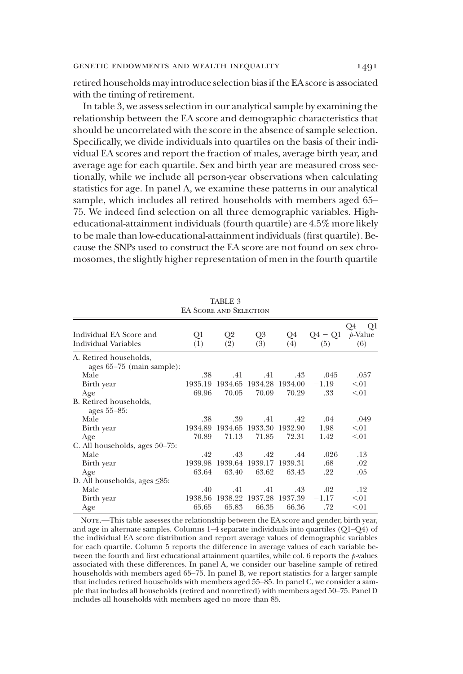retired households may introduce selection bias if the EA score is associated with the timing of retirement.

In table 3, we assess selection in our analytical sample by examining the relationship between the EA score and demographic characteristics that should be uncorrelated with the score in the absence of sample selection. Specifically, we divide individuals into quartiles on the basis of their individual EA scores and report the fraction of males, average birth year, and average age for each quartile. Sex and birth year are measured cross sectionally, while we include all person-year observations when calculating statistics for age. In panel A, we examine these patterns in our analytical sample, which includes all retired households with members aged 65– 75. We indeed find selection on all three demographic variables. Higheducational-attainment individuals (fourth quartile) are 4.5% more likely to be male than low-educational-attainment individuals (first quartile). Because the SNPs used to construct the EA score are not found on sex chromosomes, the slightly higher representation of men in the fourth quartile

| Individual EA Score and<br>Individual Variables       | Ql<br>(1) | $\mathbb{Q}^2$<br>(2) | Q3<br>(3) | Q4<br>(4) | $Q_4 - Q_1$<br>(5) | Q4 – Q1<br>$p$ -Value<br>(6) |
|-------------------------------------------------------|-----------|-----------------------|-----------|-----------|--------------------|------------------------------|
| A. Retired households,<br>ages $65-75$ (main sample): |           |                       |           |           |                    |                              |
| Male                                                  | .38       | .41                   | .41       | .43       | .045               | .057                         |
| Birth year                                            | 1935.19   | 1934.65               | 1934.28   | 1934.00   | $-1.19$            | < 0.01                       |
| Age                                                   | 69.96     | 70.05                 | 70.09     | 70.29     | .33                | < 0.01                       |
| B. Retired households,<br>ages 55–85:                 |           |                       |           |           |                    |                              |
| Male                                                  | .38       | .39                   | .41       | .42       | .04                | .049                         |
| Birth year                                            | 1934.89   | 1934.65               | 1933.30   | 1932.90   | $-1.98$            | < 01                         |
| Age                                                   | 70.89     | 71.13                 | 71.85     | 72.31     | 1.42               | < 0.01                       |
| C. All households, ages 50–75:                        |           |                       |           |           |                    |                              |
| Male                                                  | .42       | .43                   | .42       | .44       | .026               | .13                          |
| Birth year                                            | 1939.98   | 1939.64               | 1939.17   | 1939.31   | $-.68$             | .02                          |
| Age                                                   | 63.64     | 63.40                 | 63.62     | 63.43     | $-.22$             | .05                          |
| D. All households, ages $\leq 85$ :                   |           |                       |           |           |                    |                              |
| Male                                                  | .40       | .41                   | .41       | .43       | .02                | .12                          |
| Birth year                                            | 1938.56   | 1938.22               | 1937.28   | 1937.39   | $-1.17$            | < 01                         |
| Age                                                   | 65.65     | 65.83                 | 66.35     | 66.36     | .72                | < 01                         |

TABLE 3 EA Score and Selection

NOTE.—This table assesses the relationship between the EA score and gender, birth year, and age in alternate samples. Columns  $1-4$  separate individuals into quartiles  $(Q1-Q4)$  of the individual EA score distribution and report average values of demographic variables for each quartile. Column 5 reports the difference in average values of each variable between the fourth and first educational attainment quartiles, while col. 6 reports the *p*-values associated with these differences. In panel A, we consider our baseline sample of retired households with members aged 65–75. In panel B, we report statistics for a larger sample that includes retired households with members aged 55–85. In panel C, we consider a sample that includes all households (retired and nonretired) with members aged 50–75. Panel D includes all households with members aged no more than 85.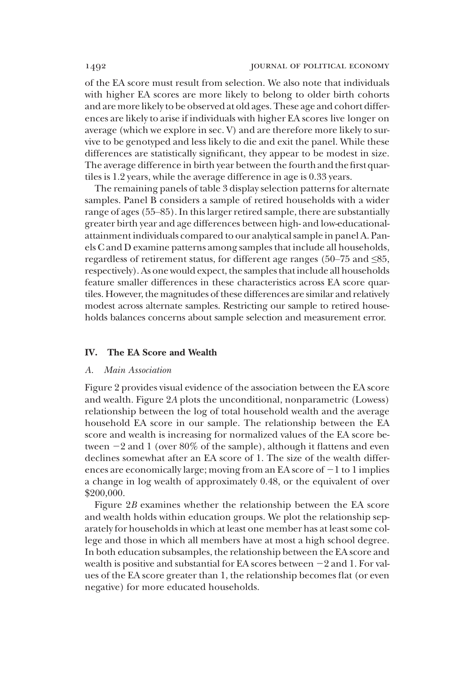of the EA score must result from selection. We also note that individuals with higher EA scores are more likely to belong to older birth cohorts and are more likely to be observed at old ages. These age and cohort differences are likely to arise if individuals with higher EA scores live longer on average (which we explore in sec. V) and are therefore more likely to survive to be genotyped and less likely to die and exit the panel. While these differences are statistically significant, they appear to be modest in size. The average difference in birth year between the fourth and the first quartiles is 1.2 years, while the average difference in age is 0.33 years.

The remaining panels of table 3 display selection patterns for alternate samples. Panel B considers a sample of retired households with a wider range of ages (55–85). In this larger retired sample, there are substantially greater birth year and age differences between high- and low-educationalattainment individuals compared to our analytical sample in panel A. Panels C and D examine patterns among samples that include all households, regardless of retirement status, for different age ranges (50–75 and ≤85, respectively). As one would expect, the samples that include all households feature smaller differences in these characteristics across EA score quartiles. However, the magnitudes of these differences are similar and relatively modest across alternate samples. Restricting our sample to retired households balances concerns about sample selection and measurement error.

# IV. The EA Score and Wealth

# *A. Main Association*

Figure 2 provides visual evidence of the association between the EA score and wealth. Figure 2*A* plots the unconditional, nonparametric (Lowess) relationship between the log of total household wealth and the average household EA score in our sample. The relationship between the EA score and wealth is increasing for normalized values of the EA score between  $-2$  and 1 (over 80% of the sample), although it flattens and even declines somewhat after an EA score of 1. The size of the wealth differences are economically large; moving from an EA score of  $-1$  to 1 implies a change in log wealth of approximately 0.48, or the equivalent of over \$200,000.

Figure 2*B* examines whether the relationship between the EA score and wealth holds within education groups. We plot the relationship separately for households in which at least one member has at least some college and those in which all members have at most a high school degree. In both education subsamples, the relationship between the EA score and wealth is positive and substantial for EA scores between  $-2$  and 1. For values of the EA score greater than 1, the relationship becomes flat (or even negative) for more educated households.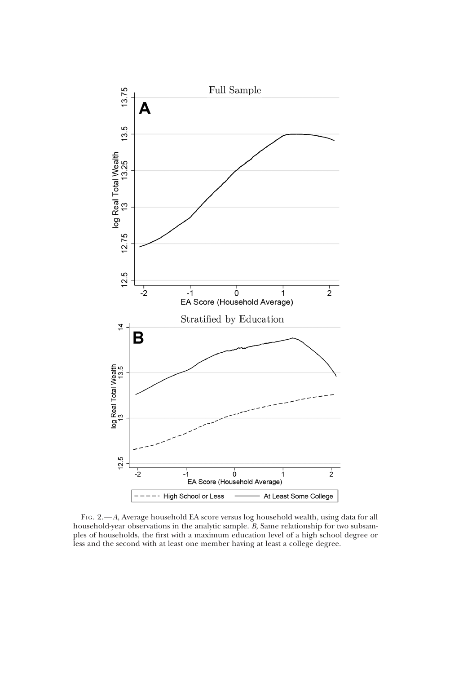

FIG. 2.—*A*, Average household EA score versus log household wealth, using data for all household-year observations in the analytic sample. *B*, Same relationship for two subsamples of households, the first with a maximum education level of a high school degree or less and the second with at least one member having at least a college degree.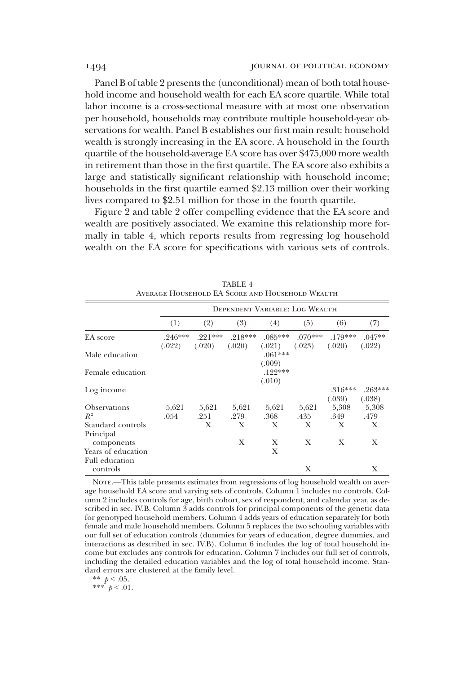Panel B of table 2 presents the (unconditional) mean of both total household income and household wealth for each EA score quartile. While total labor income is a cross-sectional measure with at most one observation per household, households may contribute multiple household-year observations for wealth. Panel B establishes our first main result: household wealth is strongly increasing in the EA score. A household in the fourth quartile of the household-average EA score has over \$475,000 more wealth in retirement than those in the first quartile. The EA score also exhibits a large and statistically significant relationship with household income; households in the first quartile earned \$2.13 million over their working lives compared to \$2.51 million for those in the fourth quartile.

Figure 2 and table 2 offer compelling evidence that the EA score and wealth are positively associated. We examine this relationship more formally in table 4, which reports results from regressing log household wealth on the EA score for specifications with various sets of controls.

|                                  |                     |                     |                     | DEPENDENT VARIABLE: LOG WEALTH |                     |                     |                     |
|----------------------------------|---------------------|---------------------|---------------------|--------------------------------|---------------------|---------------------|---------------------|
|                                  | (1)                 | (2)                 | (3)                 | (4)                            | (5)                 | (6)                 | (7)                 |
| EA score                         | $.246***$<br>(.022) | $.221***$<br>(.020) | $.218***$<br>(.020) | $.085***$<br>(.021)            | $.070***$<br>(.023) | $.179***$<br>(.020) | $.047**$<br>(.022)  |
| Male education                   |                     |                     |                     | $.061***$<br>(.009)            |                     |                     |                     |
| Female education                 |                     |                     |                     | $.122***$<br>(.010)            |                     |                     |                     |
| Log income                       |                     |                     |                     |                                |                     | $.316***$<br>(.039) | $.263***$<br>(.038) |
| <b>Observations</b><br>$R^2$     | 5,621<br>.054       | 5,621<br>.251       | 5,621<br>.279       | 5,621<br>.368                  | 5,621<br>.435       | 5,308<br>.349       | 5,308<br>.479       |
| Standard controls<br>Principal   |                     | X                   | X                   | X                              | X                   | X                   | X                   |
| components<br>Years of education |                     |                     | X                   | X<br>X                         | X                   | X                   | X                   |
| Full education<br>controls       |                     |                     |                     |                                | X                   |                     | X                   |

TABLE 4 Average Household EA Score and Household Wealth

Note.—This table presents estimates from regressions of log household wealth on average household EA score and varying sets of controls. Column 1 includes no controls. Column 2 includes controls for age, birth cohort, sex of respondent, and calendar year, as described in sec. IV.B. Column  $\overline{3}$  adds controls for principal components of the genetic data for genotyped household members. Column 4 adds years of education separately for both female and male household members. Column 5 replaces the two schooling variables with our full set of education controls (dummies for years of education, degree dummies, and interactions as described in sec. IV.B). Column 6 includes the log of total household income but excludes any controls for education. Column 7 includes our full set of controls, including the detailed education variables and the log of total household income. Standard errors are clustered at the family level.

\*\*  $p < .05$ . \*\*\* $^{'}p < .01$ .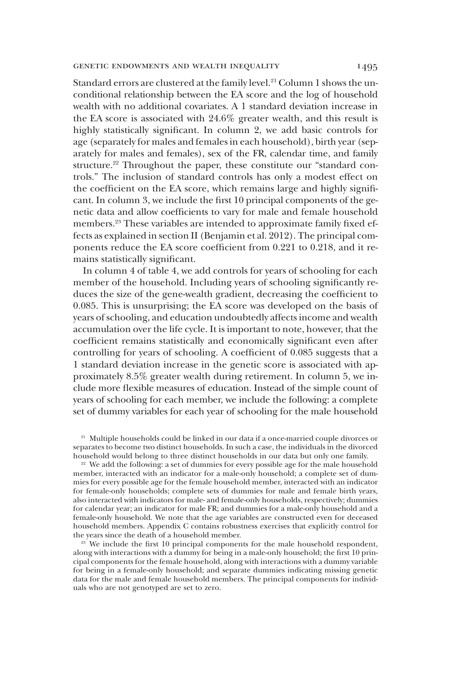Standard errors are clustered at the family level.<sup>21</sup> Column 1 shows the unconditional relationship between the EA score and the log of household wealth with no additional covariates. A 1 standard deviation increase in the EA score is associated with 24.6% greater wealth, and this result is highly statistically significant. In column 2, we add basic controls for age (separately for males and females in each household), birth year (separately for males and females), sex of the FR, calendar time, and family structure.<sup>22</sup> Throughout the paper, these constitute our "standard controls." The inclusion of standard controls has only a modest effect on the coefficient on the EA score, which remains large and highly significant. In column 3, we include the first 10 principal components of the genetic data and allow coefficients to vary for male and female household members.<sup>23</sup> These variables are intended to approximate family fixed effects as explained in section II (Benjamin et al. 2012). The principal components reduce the EA score coefficient from 0.221 to 0.218, and it remains statistically significant.

In column 4 of table 4, we add controls for years of schooling for each member of the household. Including years of schooling significantly reduces the size of the gene-wealth gradient, decreasing the coefficient to 0.085. This is unsurprising; the EA score was developed on the basis of years of schooling, and education undoubtedly affects income and wealth accumulation over the life cycle. It is important to note, however, that the coefficient remains statistically and economically significant even after controlling for years of schooling. A coefficient of 0.085 suggests that a 1 standard deviation increase in the genetic score is associated with approximately 8.5% greater wealth during retirement. In column 5, we include more flexible measures of education. Instead of the simple count of years of schooling for each member, we include the following: a complete set of dummy variables for each year of schooling for the male household

<sup>21</sup> Multiple households could be linked in our data if a once-married couple divorces or separates to become two distinct households. In such a case, the individuals in the divorced household would belong to three distinct households in our data but only one family.

<sup>22</sup> We add the following: a set of dummies for every possible age for the male household member, interacted with an indicator for a male-only household; a complete set of dummies for every possible age for the female household member, interacted with an indicator for female-only households; complete sets of dummies for male and female birth years, also interacted with indicators for male- and female-only households, respectively; dummies for calendar year; an indicator for male FR; and dummies for a male-only household and a female-only household. We note that the age variables are constructed even for deceased household members. Appendix C contains robustness exercises that explicitly control for the years since the death of a household member.

 $23$ <sup>23</sup> We include the first 10 principal components for the male household respondent, along with interactions with a dummy for being in a male-only household; the first 10 principal components for the female household, along with interactions with a dummy variable for being in a female-only household; and separate dummies indicating missing genetic data for the male and female household members. The principal components for individuals who are not genotyped are set to zero.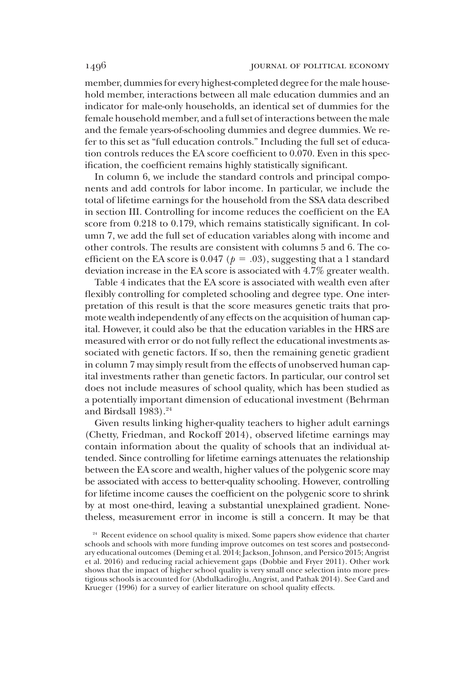member, dummies for every highest-completed degree for the male household member, interactions between all male education dummies and an indicator for male-only households, an identical set of dummies for the female household member, and a full set of interactions between the male and the female years-of-schooling dummies and degree dummies. We refer to this set as "full education controls." Including the full set of education controls reduces the EA score coefficient to 0.070. Even in this specification, the coefficient remains highly statistically significant.

In column 6, we include the standard controls and principal components and add controls for labor income. In particular, we include the total of lifetime earnings for the household from the SSA data described in section III. Controlling for income reduces the coefficient on the EA score from 0.218 to 0.179, which remains statistically significant. In column 7, we add the full set of education variables along with income and other controls. The results are consistent with columns 5 and 6. The coefficient on the EA score is  $0.047$  ( $p = .03$ ), suggesting that a 1 standard deviation increase in the EA score is associated with 4.7% greater wealth.

Table 4 indicates that the EA score is associated with wealth even after flexibly controlling for completed schooling and degree type. One interpretation of this result is that the score measures genetic traits that promote wealth independently of any effects on the acquisition of human capital. However, it could also be that the education variables in the HRS are measured with error or do not fully reflect the educational investments associated with genetic factors. If so, then the remaining genetic gradient in column 7 may simply result from the effects of unobserved human capital investments rather than genetic factors. In particular, our control set does not include measures of school quality, which has been studied as a potentially important dimension of educational investment (Behrman and Birdsall 1983).<sup>24</sup>

Given results linking higher-quality teachers to higher adult earnings (Chetty, Friedman, and Rockoff 2014), observed lifetime earnings may contain information about the quality of schools that an individual attended. Since controlling for lifetime earnings attenuates the relationship between the EA score and wealth, higher values of the polygenic score may be associated with access to better-quality schooling. However, controlling for lifetime income causes the coefficient on the polygenic score to shrink by at most one-third, leaving a substantial unexplained gradient. Nonetheless, measurement error in income is still a concern. It may be that

<sup>&</sup>lt;sup>24</sup> Recent evidence on school quality is mixed. Some papers show evidence that charter schools and schools with more funding improve outcomes on test scores and postsecondary educational outcomes (Deming et al. 2014; Jackson, Johnson, and Persico 2015; Angrist et al. 2016) and reducing racial achievement gaps (Dobbie and Fryer 2011). Other work shows that the impact of higher school quality is very small once selection into more prestigious schools is accounted for (Abdulkadiroğlu, Angrist, and Pathak 2014). See Card and Krueger (1996) for a survey of earlier literature on school quality effects.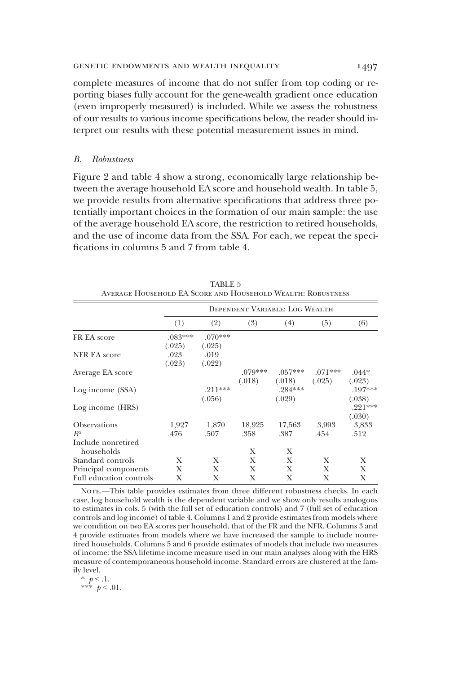complete measures of income that do not suffer from top coding or reporting biases fully account for the gene-wealth gradient once education (even improperly measured) is included. While we assess the robustness of our results to various income specifications below, the reader should interpret our results with these potential measurement issues in mind.

### *B. Robustness*

Figure 2 and table 4 show a strong, economically large relationship between the average household EA score and household wealth. In table 5, we provide results from alternative specifications that address three potentially important choices in the formation of our main sample: the use of the average household EA score, the restriction to retired households, and the use of income data from the SSA. For each, we repeat the specifications in columns 5 and 7 from table 4.

|                         |           |           |           | DEPENDENT VARIABLE: LOG WEALTH |           |          |
|-------------------------|-----------|-----------|-----------|--------------------------------|-----------|----------|
|                         | (1)       | (2)       | (3)       | (4)                            | (5)       | (6)      |
| FR EA score             | $.083***$ | $.070***$ |           |                                |           |          |
|                         | (.025)    | (.025)    |           |                                |           |          |
| <b>NFR EA score</b>     | .023      | .019      |           |                                |           |          |
|                         | (.023)    | (.022)    |           |                                |           |          |
| Average EA score        |           |           | $.079***$ | $.057***$                      | $.071***$ | $.044*$  |
|                         |           |           | (.018)    | (.018)                         | (.025)    | (.023)   |
| Log income (SSA)        |           | $.211***$ |           | $.284***$                      |           | .197***  |
|                         |           | (.056)    |           | (.029)                         |           | (.038)   |
| Log income (HRS)        |           |           |           |                                |           | .221 *** |
|                         |           |           |           |                                |           | (.030)   |
| <b>Observations</b>     | 1,927     | 1,870     | 18,925    | 17,563                         | 3,993     | 3,833    |
| $R^2$                   | .476      | .507      | .358      | .387                           | .454      | .512     |
| Include nonretired      |           |           |           |                                |           |          |
| households              |           |           | X         | X                              |           |          |
| Standard controls       | X         | X         | X         | X                              | X         | X        |
| Principal components    | X         | X         | Х         | X                              | Х         | X        |
| Full education controls | Х         | X         | Х         | X                              | Х         | X        |

TABLE 5 Average Household EA Score and Household Wealth: Robustness

NOTE.—This table provides estimates from three different robustness checks. In each case, log household wealth is the dependent variable and we show only results analogous to estimates in cols. 5 (with the full set of education controls) and 7 (full set of education controls and log income) of table 4. Columns 1 and 2 provide estimates from models where we condition on two EA scores per household, that of the FR and the NFR. Columns 3 and 4 provide estimates from models where we have increased the sample to include nonretired households. Columns 5 and 6 provide estimates of models that include two measures of income: the SSA lifetime income measure used in our main analyses along with the HRS measure of contemporaneous household income. Standard errors are clustered at the family level.

\*  $p < 0.1$ .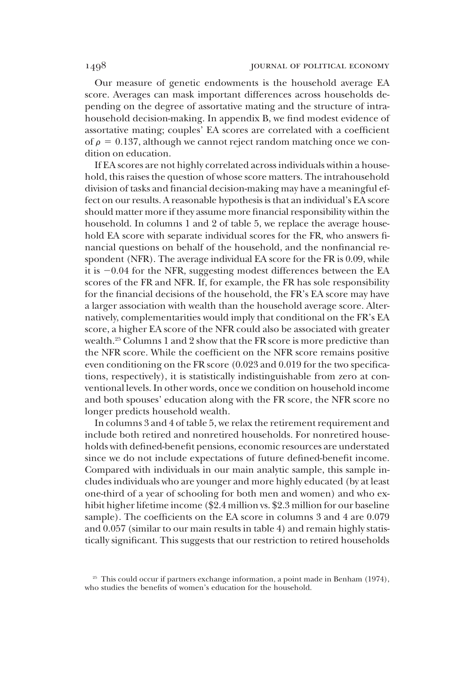Our measure of genetic endowments is the household average EA score. Averages can mask important differences across households depending on the degree of assortative mating and the structure of intrahousehold decision-making. In appendix B, we find modest evidence of assortative mating; couples' EA scores are correlated with a coefficient of  $\rho = 0.137$ , although we cannot reject random matching once we condition on education.

If EA scores are not highly correlated across individuals within a household, this raises the question of whose score matters. The intrahousehold division of tasks and financial decision-making may have a meaningful effect on our results. A reasonable hypothesis is that an individual's EA score should matter more if they assume more financial responsibility within the household. In columns 1 and 2 of table 5, we replace the average household EA score with separate individual scores for the FR, who answers financial questions on behalf of the household, and the nonfinancial respondent (NFR). The average individual EA score for the FR is 0.09, while it is  $-0.04$  for the NFR, suggesting modest differences between the EA scores of the FR and NFR. If, for example, the FR has sole responsibility for the financial decisions of the household, the FR's EA score may have a larger association with wealth than the household average score. Alternatively, complementarities would imply that conditional on the FR's EA score, a higher EA score of the NFR could also be associated with greater wealth.<sup>25</sup> Columns 1 and 2 show that the FR score is more predictive than the NFR score. While the coefficient on the NFR score remains positive even conditioning on the FR score (0.023 and 0.019 for the two specifications, respectively), it is statistically indistinguishable from zero at conventional levels. In other words, once we condition on household income and both spouses' education along with the FR score, the NFR score no longer predicts household wealth.

In columns 3 and 4 of table 5, we relax the retirement requirement and include both retired and nonretired households. For nonretired households with defined-benefit pensions, economic resources are understated since we do not include expectations of future defined-benefit income. Compared with individuals in our main analytic sample, this sample includes individuals who are younger and more highly educated (by at least one-third of a year of schooling for both men and women) and who exhibit higher lifetime income (\$2.4 million vs. \$2.3 million for our baseline sample). The coefficients on the EA score in columns 3 and 4 are 0.079 and 0.057 (similar to our main results in table 4) and remain highly statistically significant. This suggests that our restriction to retired households

<sup>&</sup>lt;sup>25</sup> This could occur if partners exchange information, a point made in Benham (1974), who studies the benefits of women's education for the household.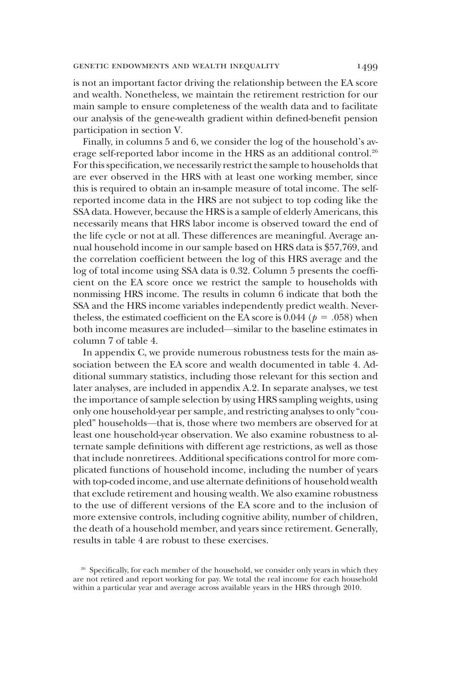is not an important factor driving the relationship between the EA score and wealth. Nonetheless, we maintain the retirement restriction for our main sample to ensure completeness of the wealth data and to facilitate our analysis of the gene-wealth gradient within defined-benefit pension participation in section V.

Finally, in columns 5 and 6, we consider the log of the household's average self-reported labor income in the HRS as an additional control.<sup>26</sup> For this specification, we necessarily restrict the sample to households that are ever observed in the HRS with at least one working member, since this is required to obtain an in-sample measure of total income. The selfreported income data in the HRS are not subject to top coding like the SSA data. However, because the HRS is a sample of elderly Americans, this necessarily means that HRS labor income is observed toward the end of the life cycle or not at all. These differences are meaningful. Average annual household income in our sample based on HRS data is \$57,769, and the correlation coefficient between the log of this HRS average and the log of total income using SSA data is 0.32. Column 5 presents the coefficient on the EA score once we restrict the sample to households with nonmissing HRS income. The results in column 6 indicate that both the SSA and the HRS income variables independently predict wealth. Nevertheless, the estimated coefficient on the EA score is  $0.044$  ( $p = .058$ ) when both income measures are included—similar to the baseline estimates in column 7 of table 4.

In appendix C, we provide numerous robustness tests for the main association between the EA score and wealth documented in table 4. Additional summary statistics, including those relevant for this section and later analyses, are included in appendix A.2. In separate analyses, we test the importance of sample selection by using HRS sampling weights, using only one household-year per sample, and restricting analyses to only "coupled" households—that is, those where two members are observed for at least one household-year observation. We also examine robustness to alternate sample definitions with different age restrictions, as well as those that include nonretirees. Additional specifications control for more complicated functions of household income, including the number of years with top-coded income, and use alternate definitions of household wealth that exclude retirement and housing wealth. We also examine robustness to the use of different versions of the EA score and to the inclusion of more extensive controls, including cognitive ability, number of children, the death of a household member, and years since retirement. Generally, results in table 4 are robust to these exercises.

<sup>&</sup>lt;sup>26</sup> Specifically, for each member of the household, we consider only years in which they are not retired and report working for pay. We total the real income for each household within a particular year and average across available years in the HRS through 2010.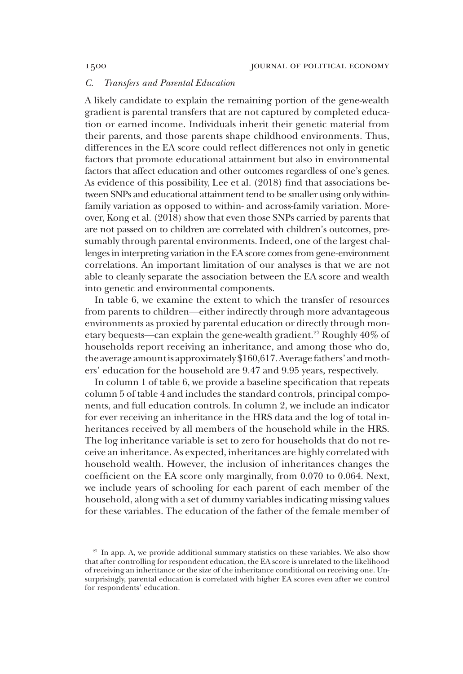### *C. Transfers and Parental Education*

A likely candidate to explain the remaining portion of the gene-wealth gradient is parental transfers that are not captured by completed education or earned income. Individuals inherit their genetic material from their parents, and those parents shape childhood environments. Thus, differences in the EA score could reflect differences not only in genetic factors that promote educational attainment but also in environmental factors that affect education and other outcomes regardless of one's genes. As evidence of this possibility, Lee et al. (2018) find that associations between SNPs and educational attainment tend to be smaller using only withinfamily variation as opposed to within- and across-family variation. Moreover, Kong et al. (2018) show that even those SNPs carried by parents that are not passed on to children are correlated with children's outcomes, presumably through parental environments. Indeed, one of the largest challenges in interpreting variation in the EA score comes from gene-environment correlations. An important limitation of our analyses is that we are not able to cleanly separate the association between the EA score and wealth into genetic and environmental components.

In table 6, we examine the extent to which the transfer of resources from parents to children—either indirectly through more advantageous environments as proxied by parental education or directly through monetary bequests—can explain the gene-wealth gradient.<sup>27</sup> Roughly  $40\%$  of households report receiving an inheritance, and among those who do, the average amount is approximately \$160,617. Average fathers' and mothers' education for the household are 9.47 and 9.95 years, respectively.

In column 1 of table 6, we provide a baseline specification that repeats column 5 of table 4 and includes the standard controls, principal components, and full education controls. In column 2, we include an indicator for ever receiving an inheritance in the HRS data and the log of total inheritances received by all members of the household while in the HRS. The log inheritance variable is set to zero for households that do not receive an inheritance. As expected, inheritances are highly correlated with household wealth. However, the inclusion of inheritances changes the coefficient on the EA score only marginally, from 0.070 to 0.064. Next, we include years of schooling for each parent of each member of the household, along with a set of dummy variables indicating missing values for these variables. The education of the father of the female member of

 $27$  In app. A, we provide additional summary statistics on these variables. We also show that after controlling for respondent education, the EA score is unrelated to the likelihood of receiving an inheritance or the size of the inheritance conditional on receiving one. Unsurprisingly, parental education is correlated with higher EA scores even after we control for respondents' education.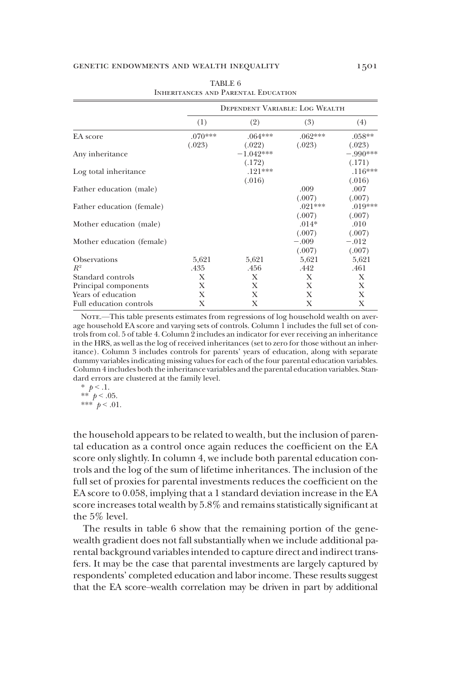### genetic endowments and wealth inequality 1501

|                           |           | DEPENDENT VARIABLE: LOG WEALTH |           |            |
|---------------------------|-----------|--------------------------------|-----------|------------|
|                           | (1)       | (2)                            | (3)       | (4)        |
| EA score                  | $.070***$ | $.064***$                      | $.062***$ | $.058**$   |
|                           | (.023)    | (.022)                         | (.023)    | (.023)     |
| Any inheritance           |           | $-1.042***$                    |           | $-.990***$ |
|                           |           | (.172)                         |           | (.171)     |
| Log total inheritance     |           | $.121***$                      |           | $.116***$  |
|                           |           | (.016)                         |           | (.016)     |
| Father education (male)   |           |                                | .009      | .007       |
|                           |           |                                | (.007)    | (.007)     |
| Father education (female) |           |                                | $.021***$ | $.019***$  |
|                           |           |                                | (.007)    | (.007)     |
| Mother education (male)   |           |                                | $.014*$   | .010       |
|                           |           |                                | (.007)    | (.007)     |
| Mother education (female) |           |                                | $-.009$   | $-.012$    |
|                           |           |                                | (.007)    | (.007)     |
| <b>Observations</b>       | 5,621     | 5,621                          | 5,621     | 5,621      |
| $R^2$                     | .435      | .456                           | .442      | .461       |
| Standard controls         | X         | X                              | X         | X          |
| Principal components      | X         | X                              | X         | X          |
| Years of education        | X         | X                              | X         | X          |
| Full education controls   | X         | X                              | X         | Х          |

TABLE 6 Inheritances and Parental Education

Nore.—This table presents estimates from regressions of log household wealth on average household EA score and varying sets of controls. Column 1 includes the full set of controls from col. 5 of table 4. Column 2 includes an indicator for ever receiving an inheritance in the HRS, as well as the log of received inheritances (set to zero for those without an inheritance). Column 3 includes controls for parents' years of education, along with separate dummy variables indicating missing values for each of the four parental education variables. Column 4 includes both the inheritance variables and the parental education variables. Standard errors are clustered at the family level.

\*  $p < 0.1$ .  $p < .05$ . \*\*\*  $p < .01$ .

the household appears to be related to wealth, but the inclusion of parental education as a control once again reduces the coefficient on the EA score only slightly. In column 4, we include both parental education controls and the log of the sum of lifetime inheritances. The inclusion of the full set of proxies for parental investments reduces the coefficient on the EA score to 0.058, implying that a 1 standard deviation increase in the EA score increases total wealth by 5.8% and remains statistically significant at the 5% level.

The results in table 6 show that the remaining portion of the genewealth gradient does not fall substantially when we include additional parental background variables intended to capture direct and indirect transfers. It may be the case that parental investments are largely captured by respondents' completed education and laborincome. These results suggest that the EA score–wealth correlation may be driven in part by additional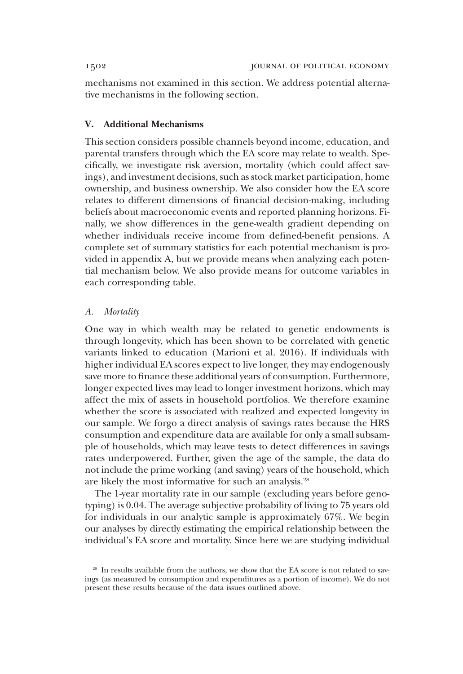mechanisms not examined in this section. We address potential alternative mechanisms in the following section.

# V. Additional Mechanisms

This section considers possible channels beyond income, education, and parental transfers through which the EA score may relate to wealth. Specifically, we investigate risk aversion, mortality (which could affect savings), and investment decisions, such as stock market participation, home ownership, and business ownership. We also consider how the EA score relates to different dimensions of financial decision-making, including beliefs about macroeconomic events and reported planning horizons. Finally, we show differences in the gene-wealth gradient depending on whether individuals receive income from defined-benefit pensions. A complete set of summary statistics for each potential mechanism is provided in appendix A, but we provide means when analyzing each potential mechanism below. We also provide means for outcome variables in each corresponding table.

# *A. Mortality*

One way in which wealth may be related to genetic endowments is through longevity, which has been shown to be correlated with genetic variants linked to education (Marioni et al. 2016). If individuals with higher individual EA scores expect to live longer, they may endogenously save more to finance these additional years of consumption. Furthermore, longer expected lives may lead to longer investment horizons, which may affect the mix of assets in household portfolios. We therefore examine whether the score is associated with realized and expected longevity in our sample. We forgo a direct analysis of savings rates because the HRS consumption and expenditure data are available for only a small subsample of households, which may leave tests to detect differences in savings rates underpowered. Further, given the age of the sample, the data do not include the prime working (and saving) years of the household, which are likely the most informative for such an analysis.<sup>28</sup>

The 1-year mortality rate in our sample (excluding years before genotyping) is 0.04. The average subjective probability of living to 75 years old for individuals in our analytic sample is approximately 67%. We begin our analyses by directly estimating the empirical relationship between the individual's EA score and mortality. Since here we are studying individual

<sup>&</sup>lt;sup>28</sup> In results available from the authors, we show that the EA score is not related to savings (as measured by consumption and expenditures as a portion of income). We do not present these results because of the data issues outlined above.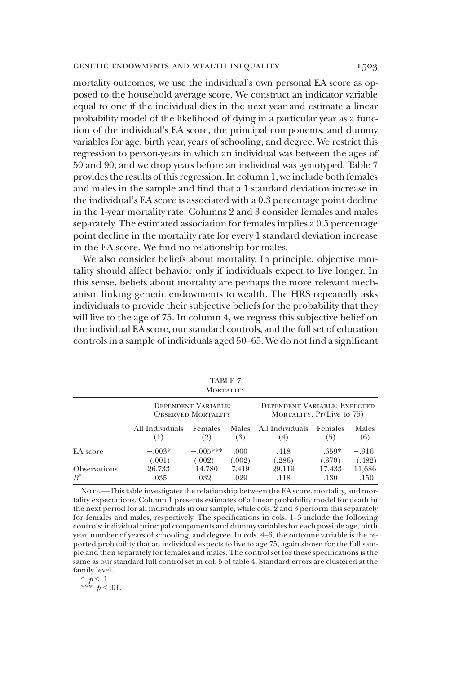posed to the household average score. We construct an indicator variable equal to one if the individual dies in the next year and estimate a linear probability model of the likelihood of dying in a particular year as a function of the individual's EA score, the principal components, and dummy variables for age, birth year, years of schooling, and degree. We restrict this regression to person-years in which an individual was between the ages of 50 and 90, and we drop years before an individual was genotyped. Table 7 provides the results of this regression. In column 1, we include both females and males in the sample and find that a 1 standard deviation increase in the individual's EA score is associated with a 0.3 percentage point decline in the 1-year mortality rate. Columns 2 and 3 consider females and males separately. The estimated association for females implies a 0.5 percentage point decline in the mortality rate for every 1 standard deviation increase in the EA score. We find no relationship for males.

We also consider beliefs about mortality. In principle, objective mortality should affect behavior only if individuals expect to live longer. In this sense, beliefs about mortality are perhaps the more relevant mechanism linking genetic endowments to wealth. The HRS repeatedly asks individuals to provide their subjective beliefs for the probability that they will live to the age of 75. In column 4, we regress this subjective belief on the individual EA score, our standard controls, and the full set of education controls in a sample of individuals aged 50–65. We do not find a significant

|                     |                 |                                                  | <b>MORTALITY</b> |                                                           |         |         |
|---------------------|-----------------|--------------------------------------------------|------------------|-----------------------------------------------------------|---------|---------|
|                     |                 | DEPENDENT VARIABLE:<br><b>OBSERVED MORTALITY</b> |                  | DEPENDENT VARIABLE: EXPECTED<br>MORTALITY, Pr(Live to 75) |         |         |
|                     | All Individuals | Females                                          | Males            | All Individuals                                           | Females | Males   |
|                     | (1)             | (2)                                              | (3)              | (4)                                                       | (5)     | (6)     |
| F.A score           | $-.003*$        | $-.005***$                                       | .000             | .418                                                      | $.659*$ | $-.316$ |
|                     | (.001)          | (.002)                                           | (.002)           | (.286)                                                    | (.370)  | (.482)  |
| <b>Observations</b> | 26,733          | 14.780                                           | 7.419            | 29.119                                                    | 17,433  | 11,686  |
| $R^2$               | .035            | .032                                             | .029             | .118                                                      | .130    | .150    |

TABLE 7

NOTE.—This table investigates the relationship between the EA score, mortality, and mortality expectations. Column 1 presents estimates of a linear probability model for death in the next period for all individuals in our sample, while cols. 2 and 3 perform this separately for females and males, respectively. The specifications in cols. 1–3 include the following controls: individual principal components and dummy variables for each possible age, birth year, number of years of schooling, and degree. In cols. 4–6, the outcome variable is the reported probability that an individual expects to live to age 75, again shown for the full sample and then separately for females and males. The control set for these specifications is the same as our standard full control set in col. 5 of table 4. Standard errors are clustered at the family level.

\*  $p < 0.1$ .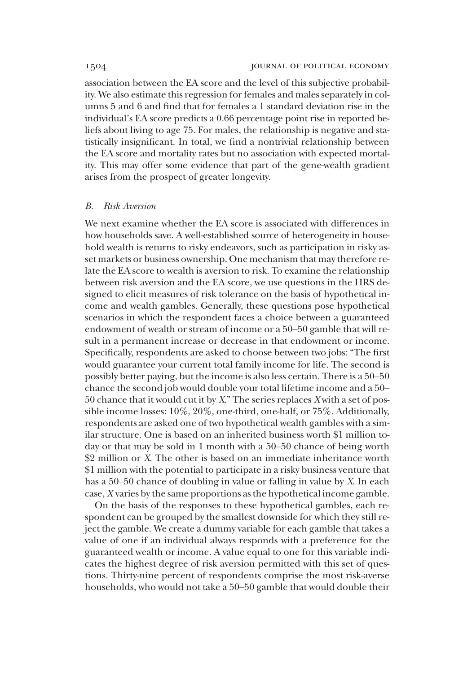association between the EA score and the level of this subjective probability. We also estimate this regression for females and males separately in columns 5 and 6 and find that for females a 1 standard deviation rise in the individual's EA score predicts a 0.66 percentage point rise in reported beliefs about living to age 75. For males, the relationship is negative and statistically insignificant. In total, we find a nontrivial relationship between the EA score and mortality rates but no association with expected mortality. This may offer some evidence that part of the gene-wealth gradient arises from the prospect of greater longevity.

# *B. Risk Aversion*

We next examine whether the EA score is associated with differences in how households save. A well-established source of heterogeneity in household wealth is returns to risky endeavors, such as participation in risky asset markets or business ownership. One mechanism that may therefore relate the EA score to wealth is aversion to risk. To examine the relationship between risk aversion and the EA score, we use questions in the HRS designed to elicit measures of risk tolerance on the basis of hypothetical income and wealth gambles. Generally, these questions pose hypothetical scenarios in which the respondent faces a choice between a guaranteed endowment of wealth or stream of income or a 50–50 gamble that will result in a permanent increase or decrease in that endowment or income. Specifically, respondents are asked to choose between two jobs: "The first would guarantee your current total family income for life. The second is possibly better paying, but the income is also less certain. There is a 50–50 chance the second job would double your total lifetime income and a 50– 50 chance that it would cut it by *X*." The series replaces *X* with a set of possible income losses: 10%, 20%, one-third, one-half, or 75%. Additionally, respondents are asked one of two hypothetical wealth gambles with a similar structure. One is based on an inherited business worth \$1 million today or that may be sold in 1 month with a 50–50 chance of being worth \$2 million or *X*. The other is based on an immediate inheritance worth \$1 million with the potential to participate in a risky business venture that has a 50–50 chance of doubling in value or falling in value by *X*. In each case, *X* varies by the same proportions as the hypothetical income gamble.

On the basis of the responses to these hypothetical gambles, each respondent can be grouped by the smallest downside for which they still reject the gamble. We create a dummy variable for each gamble that takes a value of one if an individual always responds with a preference for the guaranteed wealth or income. A value equal to one for this variable indicates the highest degree of risk aversion permitted with this set of questions. Thirty-nine percent of respondents comprise the most risk-averse households, who would not take a 50–50 gamble that would double their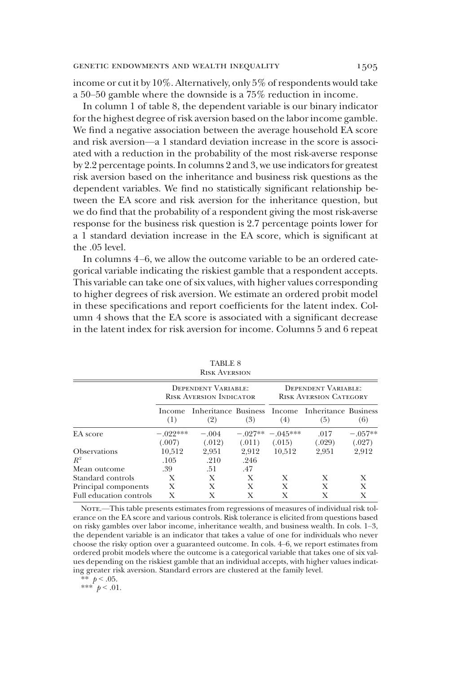income or cut it by 10%. Alternatively, only 5% of respondents would take a 50–50 gamble where the downside is a 75% reduction in income.

In column 1 of table 8, the dependent variable is our binary indicator for the highest degree of risk aversion based on the labor income gamble. We find a negative association between the average household EA score and risk aversion—a 1 standard deviation increase in the score is associated with a reduction in the probability of the most risk-averse response by 2.2 percentage points. In columns 2 and 3, we use indicators for greatest risk aversion based on the inheritance and business risk questions as the dependent variables. We find no statistically significant relationship between the EA score and risk aversion for the inheritance question, but we do find that the probability of a respondent giving the most risk-averse response for the business risk question is 2.7 percentage points lower for a 1 standard deviation increase in the EA score, which is significant at the .05 level.

In columns 4–6, we allow the outcome variable to be an ordered categorical variable indicating the riskiest gamble that a respondent accepts. This variable can take one of six values, with higher values corresponding to higher degrees of risk aversion. We estimate an ordered probit model in these specifications and report coefficients for the latent index. Column 4 shows that the EA score is associated with a significant decrease in the latent index for risk aversion for income. Columns 5 and 6 repeat

|                              |                      | <b>DEPENDENT VARIABLE:</b><br><b>RISK AVERSION INDICATOR</b> |               |                             | DEPENDENT VARIABLE:<br><b>RISK AVERSION CATEGORY</b>    |                     |
|------------------------------|----------------------|--------------------------------------------------------------|---------------|-----------------------------|---------------------------------------------------------|---------------------|
|                              | Income<br>(1)        | (2)                                                          | (3)           | (4)                         | Inheritance Business Income Inheritance Business<br>(5) | (6)                 |
| EA score                     | $-.022***$<br>(.007) | $-.004$<br>(.012)                                            | (.011)        | $-.027**-.045***$<br>(.015) | .017<br>(.029)                                          | $-.057**$<br>(.027) |
| <b>Observations</b><br>$R^2$ | 10,512<br>.105       | 2,951<br>.210                                                | 2.912<br>.246 | 10,512                      | 2.951                                                   | 2,912               |
| Mean outcome                 | .39                  | .51                                                          | .47           |                             |                                                         |                     |
| Standard controls            | X                    | X                                                            | X             | X                           | X                                                       | X                   |
| Principal components         | X                    | X                                                            | X             | X                           | X                                                       |                     |
| Full education controls      | Х                    | X                                                            |               | Х                           | X                                                       |                     |

| <b>TABLE 8</b> |  |
|----------------|--|
| Risk Aversion  |  |

NOTE.-This table presents estimates from regressions of measures of individual risk tolerance on the EA score and various controls. Risk tolerance is elicited from questions based on risky gambles over labor income, inheritance wealth, and business wealth. In cols. 1–3, the dependent variable is an indicator that takes a value of one for individuals who never choose the risky option over a guaranteed outcome. In cols. 4–6, we report estimates from ordered probit models where the outcome is a categorical variable that takes one of six values depending on the riskiest gamble that an individual accepts, with higher values indicating greater risk aversion. Standard errors are clustered at the family level.

\*\*  $p < .05$ .

\*\*\*  $p < .01$ .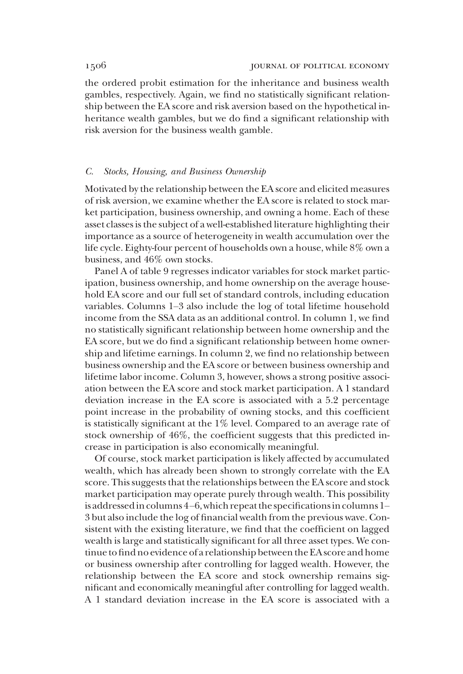the ordered probit estimation for the inheritance and business wealth gambles, respectively. Again, we find no statistically significant relationship between the EA score and risk aversion based on the hypothetical inheritance wealth gambles, but we do find a significant relationship with risk aversion for the business wealth gamble.

### *C. Stocks, Housing, and Business Ownership*

Motivated by the relationship between the EA score and elicited measures of risk aversion, we examine whether the EA score is related to stock market participation, business ownership, and owning a home. Each of these asset classes is the subject of a well-established literature highlighting their importance as a source of heterogeneity in wealth accumulation over the life cycle. Eighty-four percent of households own a house, while 8% own a business, and 46% own stocks.

Panel A of table 9 regresses indicator variables for stock market participation, business ownership, and home ownership on the average household EA score and our full set of standard controls, including education variables. Columns 1–3 also include the log of total lifetime household income from the SSA data as an additional control. In column 1, we find no statistically significant relationship between home ownership and the EA score, but we do find a significant relationship between home ownership and lifetime earnings. In column 2, we find no relationship between business ownership and the EA score or between business ownership and lifetime labor income. Column 3, however, shows a strong positive association between the EA score and stock market participation. A 1 standard deviation increase in the EA score is associated with a 5.2 percentage point increase in the probability of owning stocks, and this coefficient is statistically significant at the 1% level. Compared to an average rate of stock ownership of 46%, the coefficient suggests that this predicted increase in participation is also economically meaningful.

Of course, stock market participation is likely affected by accumulated wealth, which has already been shown to strongly correlate with the EA score. This suggests that the relationships between the EA score and stock market participation may operate purely through wealth. This possibility is addressedin columns 4–6, which repeat the specificationsin columns 1– 3 but also include the log of financial wealth from the previous wave. Consistent with the existing literature, we find that the coefficient on lagged wealth is large and statistically significant for all three asset types. We continue to find no evidence of a relationship between the EA score and home or business ownership after controlling for lagged wealth. However, the relationship between the EA score and stock ownership remains significant and economically meaningful after controlling for lagged wealth. A 1 standard deviation increase in the EA score is associated with a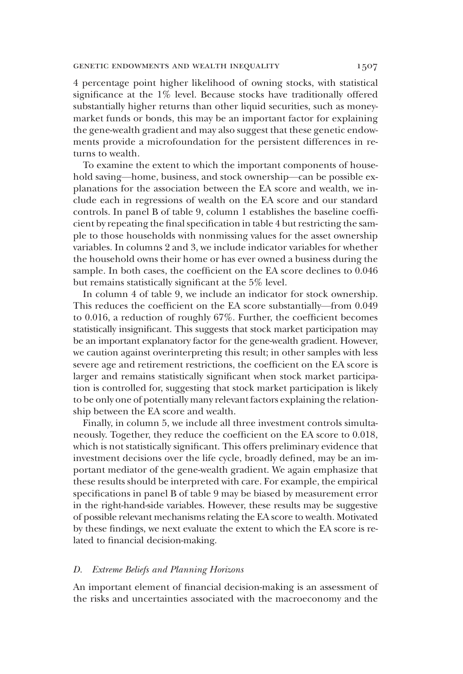4 percentage point higher likelihood of owning stocks, with statistical significance at the 1% level. Because stocks have traditionally offered substantially higher returns than other liquid securities, such as moneymarket funds or bonds, this may be an important factor for explaining the gene-wealth gradient and may also suggest that these genetic endowments provide a microfoundation for the persistent differences in returns to wealth.

To examine the extent to which the important components of household saving—home, business, and stock ownership—can be possible explanations for the association between the EA score and wealth, we include each in regressions of wealth on the EA score and our standard controls. In panel B of table 9, column 1 establishes the baseline coefficient by repeating the final specification in table 4 but restricting the sample to those households with nonmissing values for the asset ownership variables. In columns 2 and 3, we include indicator variables for whether the household owns their home or has ever owned a business during the sample. In both cases, the coefficient on the EA score declines to 0.046 but remains statistically significant at the 5% level.

In column 4 of table 9, we include an indicator for stock ownership. This reduces the coefficient on the EA score substantially—from 0.049 to 0.016, a reduction of roughly 67%. Further, the coefficient becomes statistically insignificant. This suggests that stock market participation may be an important explanatory factor for the gene-wealth gradient. However, we caution against overinterpreting this result; in other samples with less severe age and retirement restrictions, the coefficient on the EA score is larger and remains statistically significant when stock market participation is controlled for, suggesting that stock market participation is likely to be only one of potentially many relevant factors explaining the relationship between the EA score and wealth.

Finally, in column 5, we include all three investment controls simultaneously. Together, they reduce the coefficient on the EA score to 0.018, which is not statistically significant. This offers preliminary evidence that investment decisions over the life cycle, broadly defined, may be an important mediator of the gene-wealth gradient. We again emphasize that these results should be interpreted with care. For example, the empirical specifications in panel B of table 9 may be biased by measurement error in the right-hand-side variables. However, these results may be suggestive of possible relevant mechanisms relating the EA score to wealth. Motivated by these findings, we next evaluate the extent to which the EA score is related to financial decision-making.

### *D. Extreme Beliefs and Planning Horizons*

An important element of financial decision-making is an assessment of the risks and uncertainties associated with the macroeconomy and the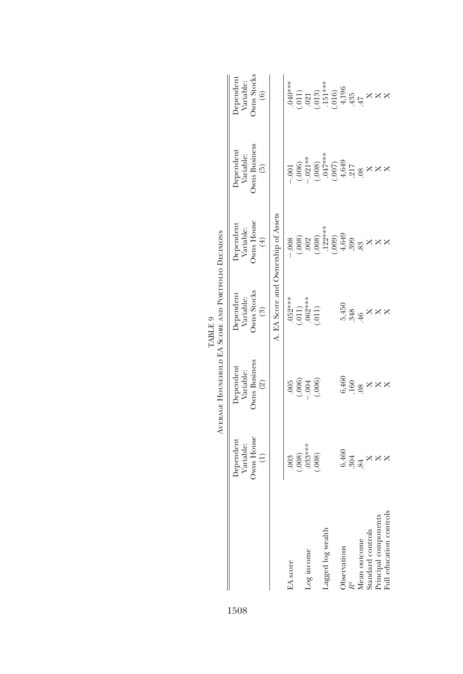|                                                 |                                                                     | AVERAGE HOUSEHOLD EA SCORE AND PORTFOLIO DECISIONS                        |                                                     |                                                 |                                                                                                                        |                                                                                    |
|-------------------------------------------------|---------------------------------------------------------------------|---------------------------------------------------------------------------|-----------------------------------------------------|-------------------------------------------------|------------------------------------------------------------------------------------------------------------------------|------------------------------------------------------------------------------------|
|                                                 | Owns House<br>Dependen<br>Variable:<br>$\left( \frac{1}{2} \right)$ | <b>Owns</b> Business<br>Dependen<br>Variable:<br>$\widehat{\mathfrak{D}}$ | Owns Stocks<br><b>Dependent</b><br>Variable:<br>(3) | Owns House<br>Dependent<br>Variable:<br>$(\pm)$ | Owns Business<br>Dependent<br>Variable:<br>$\binom{5}{2}$                                                              | <b>Owns Stocks</b><br>Dependent<br>Variable:<br>$\widehat{\circ}$                  |
|                                                 |                                                                     |                                                                           |                                                     | A. EA Score and Ownership of Assets             |                                                                                                                        |                                                                                    |
| EA score                                        | .003                                                                | .005                                                                      | $.052***$                                           | $-.008$                                         | $-.001$                                                                                                                | $.040***$                                                                          |
|                                                 |                                                                     | (.006)                                                                    |                                                     | (.008)                                          |                                                                                                                        |                                                                                    |
| Log income                                      | $(.008)$<br>$.033***$                                               |                                                                           |                                                     | .002                                            |                                                                                                                        |                                                                                    |
|                                                 | (.008)                                                              | $-0.004$<br>(.006)                                                        | $(0.011)$<br>$0.062***$<br>$(0.011)$                | $(.008)$<br>.122***                             | $\begin{array}{c} (.006) \\ -.021*** \\ (.008) \\ (.008) \\ (.047*** \\ (.07) \\ (.07) \\ (+549 \\ \hline \end{array}$ | $(011)$<br>$021$<br>$(013)$<br>$(015)$<br>$(016)$<br>$(016)$<br>$(016)$<br>$(016)$ |
| Lagged log wealth                               |                                                                     |                                                                           |                                                     |                                                 |                                                                                                                        |                                                                                    |
|                                                 |                                                                     |                                                                           |                                                     | $(600^{\circ})$                                 |                                                                                                                        |                                                                                    |
| Observations                                    |                                                                     | 6,460                                                                     | 5,450                                               | 4,649                                           |                                                                                                                        |                                                                                    |
|                                                 | $6,460$<br>$.304$                                                   | .160                                                                      | .348                                                | .399                                            |                                                                                                                        |                                                                                    |
| Mean outcome                                    | $\cdot^{\rm 84}$                                                    | 08                                                                        | .46                                                 | 83                                              | .08                                                                                                                    | 47                                                                                 |
| Standard controls                               |                                                                     | ×                                                                         | ×                                                   |                                                 |                                                                                                                        | ×                                                                                  |
|                                                 | $\times$                                                            | ×                                                                         | $\boldsymbol{\times}$                               | ×                                               |                                                                                                                        | ×                                                                                  |
| Principal components<br>Full education controls |                                                                     |                                                                           |                                                     |                                                 |                                                                                                                        |                                                                                    |
|                                                 |                                                                     |                                                                           |                                                     |                                                 |                                                                                                                        |                                                                                    |

| ŗ           |        |
|-------------|--------|
| ŗ<br>Ē<br>i |        |
|             |        |
|             | ĭ<br>7 |

1508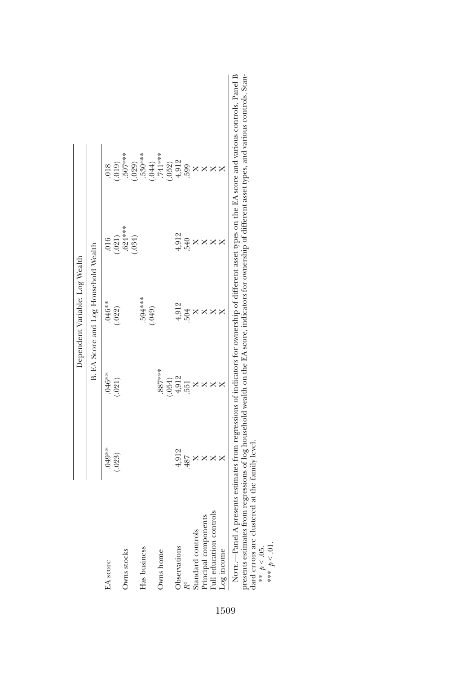|                         |                       |                                           | B. EA Score and Log Household Wealth |                                                   |                                           |
|-------------------------|-----------------------|-------------------------------------------|--------------------------------------|---------------------------------------------------|-------------------------------------------|
| EA score                | $.049**$              | 046**                                     | 046**                                | .016                                              | 018                                       |
|                         | (.023)                | (.021)                                    | (.022)                               | (.021)                                            | (610,                                     |
| Owns stocks             |                       |                                           |                                      | $.624***$                                         | 507***                                    |
|                         |                       |                                           |                                      | (.034)                                            | (.029)                                    |
| Has business            |                       |                                           | ****69.                              |                                                   | .530***                                   |
|                         |                       |                                           | (.049)                               |                                                   |                                           |
| Owns home               |                       | 887****                                   |                                      |                                                   | $(.044)$<br>.741***                       |
|                         |                       | .054)                                     |                                      |                                                   | (.052)                                    |
| Observations            | 4,912                 | 4,912                                     | 4,912                                | 4,912                                             | 4,912                                     |
| $R^2$                   | .487                  | 551                                       | .504                                 | .540                                              | .599                                      |
| Standard controls       |                       | $\breve{\phantom{0}}$<br>$\triangleright$ |                                      | $\overline{\phantom{0}}$<br>$\breve{\phantom{a}}$ | $\triangleright$<br>$\breve{\phantom{0}}$ |
| Principal components    | ۹                     | $\triangleright$<br>$\breve{\phantom{0}}$ | ⋞                                    | $\times$                                          | ×                                         |
| Full education controls | $\triangleright$<br>4 | ×                                         | ×                                    | ×                                                 | ×                                         |
| Log income              |                       | Þ                                         | ×                                    | ×                                                 | ×                                         |

Note.—Panel A presents estimates from regressions of indicators for ownership of different asset types on the EA score and various controls. Panel B presents estimates from regressions of log household wealth on the EA score, indicators for ownership of different asset types, and various controls. Standard errors are clustered at the family level.

\*\*  $p < .05$ .<br>\*\*\*  $p < .01$ .

1509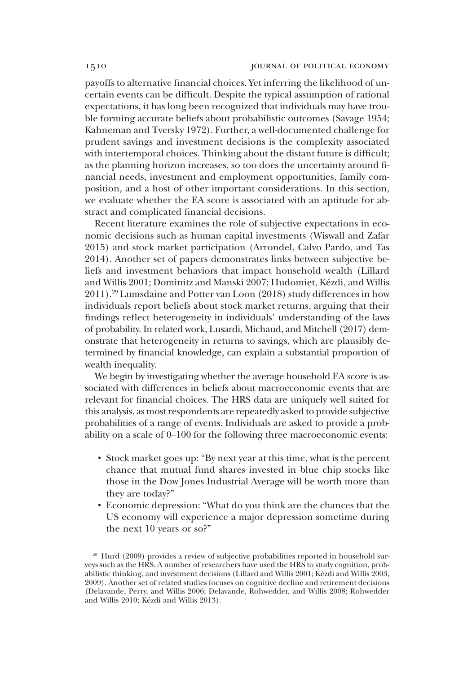payoffs to alternative financial choices. Yet inferring the likelihood of uncertain events can be difficult. Despite the typical assumption of rational expectations, it has long been recognized that individuals may have trouble forming accurate beliefs about probabilistic outcomes (Savage 1954; Kahneman and Tversky 1972). Further, a well-documented challenge for prudent savings and investment decisions is the complexity associated with intertemporal choices. Thinking about the distant future is difficult; as the planning horizon increases, so too does the uncertainty around financial needs, investment and employment opportunities, family composition, and a host of other important considerations. In this section, we evaluate whether the EA score is associated with an aptitude for abstract and complicated financial decisions.

Recent literature examines the role of subjective expectations in economic decisions such as human capital investments (Wiswall and Zafar 2015) and stock market participation (Arrondel, Calvo Pardo, and Tas 2014). Another set of papers demonstrates links between subjective beliefs and investment behaviors that impact household wealth (Lillard and Willis 2001; Dominitz and Manski 2007; Hudomiet, Kézdi, and Willis 2011).<sup>29</sup> Lumsdaine and Potter van Loon (2018) study differences in how individuals report beliefs about stock market returns, arguing that their findings reflect heterogeneity in individuals' understanding of the laws of probability. In related work, Lusardi, Michaud, and Mitchell (2017) demonstrate that heterogeneity in returns to savings, which are plausibly determined by financial knowledge, can explain a substantial proportion of wealth inequality.

We begin by investigating whether the average household EA score is associated with differences in beliefs about macroeconomic events that are relevant for financial choices. The HRS data are uniquely well suited for this analysis, as most respondents are repeatedly asked to provide subjective probabilities of a range of events. Individuals are asked to provide a probability on a scale of 0–100 for the following three macroeconomic events:

- Stock market goes up: "By next year at this time, what is the percent chance that mutual fund shares invested in blue chip stocks like those in the Dow Jones Industrial Average will be worth more than they are today?"
- Economic depression: "What do you think are the chances that the US economy will experience a major depression sometime during the next 10 years or so?"

<sup>&</sup>lt;sup>29</sup> Hurd (2009) provides a review of subjective probabilities reported in household surveys such as the HRS. A number of researchers have used the HRS to study cognition, probabilistic thinking, and investment decisions (Lillard and Willis 2001; Kézdi and Willis 2003, 2009). Another set of related studies focuses on cognitive decline and retirement decisions (Delavande, Perry, and Willis 2006; Delavande, Rohwedder, and Willis 2008; Rohwedder and Willis 2010; Kézdi and Willis 2013).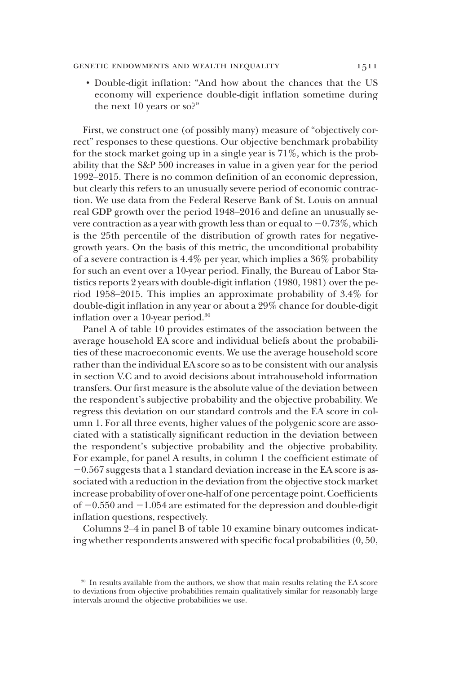• Double-digit inflation: "And how about the chances that the US economy will experience double-digit inflation sometime during the next 10 years or so?"

First, we construct one (of possibly many) measure of "objectively correct" responses to these questions. Our objective benchmark probability for the stock market going up in a single year is 71%, which is the probability that the S&P 500 increases in value in a given year for the period 1992–2015. There is no common definition of an economic depression, but clearly this refers to an unusually severe period of economic contraction. We use data from the Federal Reserve Bank of St. Louis on annual real GDP growth over the period 1948–2016 and define an unusually severe contraction as a year with growth less than or equal to  $-0.73\%$ , which is the 25th percentile of the distribution of growth rates for negativegrowth years. On the basis of this metric, the unconditional probability of a severe contraction is 4.4% per year, which implies a 36% probability for such an event over a 10-year period. Finally, the Bureau of Labor Statistics reports 2 years with double-digit inflation (1980, 1981) over the period 1958–2015. This implies an approximate probability of 3.4% for double-digit inflation in any year or about a 29% chance for double-digit inflation over a 10-year period.<sup>30</sup>

Panel A of table 10 provides estimates of the association between the average household EA score and individual beliefs about the probabilities of these macroeconomic events. We use the average household score rather than the individual EA score so as to be consistent with our analysis in section V.C and to avoid decisions about intrahousehold information transfers. Our first measure is the absolute value of the deviation between the respondent's subjective probability and the objective probability. We regress this deviation on our standard controls and the EA score in column 1. For all three events, higher values of the polygenic score are associated with a statistically significant reduction in the deviation between the respondent's subjective probability and the objective probability. For example, for panel A results, in column 1 the coefficient estimate of  $-0.567$  suggests that a 1 standard deviation increase in the EA score is associated with a reduction in the deviation from the objective stock market increase probability of over one-half of one percentage point. Coefficients of  $-0.550$  and  $-1.054$  are estimated for the depression and double-digit inflation questions, respectively.

Columns 2–4 in panel B of table 10 examine binary outcomes indicating whether respondents answered with specific focal probabilities (0, 50,

<sup>&</sup>lt;sup>30</sup> In results available from the authors, we show that main results relating the EA score to deviations from objective probabilities remain qualitatively similar for reasonably large intervals around the objective probabilities we use.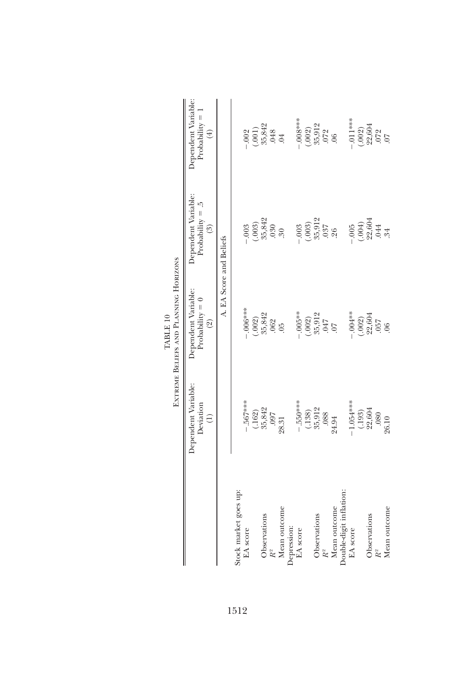|                                         |                                                         | EXTREME BELIEFS AND PLANNING HORIZONS                     |                                                             |                                                                    |
|-----------------------------------------|---------------------------------------------------------|-----------------------------------------------------------|-------------------------------------------------------------|--------------------------------------------------------------------|
|                                         | Dependent Variable:<br>Deviation<br>$\widehat{\Xi}$     | Dependent Variable:<br>Probability $= 0$<br>$\widehat{2}$ | Dependent Variable:<br>Probability $= .5$<br>$\binom{3}{2}$ | Dependent Variable:<br>Probability $= 1$<br>$\left( \pm \right)$   |
|                                         |                                                         |                                                           | A. EA Score and Beliefs                                     |                                                                    |
| Stock market goes up:<br>EA score       | $-.567***$                                              | $-006***$                                                 | $-.003$                                                     | $\begin{array}{c} -.002 \\ (.001) \\ 35,842 \\ 048 \\ \end{array}$ |
| Observations                            | $\begin{array}{c} (.162) \\ 35,842 \\ .097 \end{array}$ | $(.002)$<br>35,842                                        | $(.003)$<br>35,842                                          |                                                                    |
| Mean outcome<br>$\ensuremath{R^2}$      | 28.31                                                   | .062<br>$\tilde{6}0$ .                                    | $.030\,$<br>$\overline{.}30$                                |                                                                    |
| Depression:<br>EA score                 | $-.550***$                                              | $-0.05**$                                                 | $-.003$                                                     |                                                                    |
|                                         | $(138)$<br>$35,912$                                     |                                                           | $(0.003)$<br>$35,912$                                       |                                                                    |
| Observations<br>$\ensuremath{R^2}$      | .088                                                    | $(0.002)$<br>35,912<br>.047                               | .037                                                        | $-008$ ***<br>(.002)<br>35,912<br>35,912<br>06                     |
| Double-digit inflation:<br>Mean outcome | 24.94                                                   | 70.                                                       | .26                                                         |                                                                    |
| EA score                                | $-1.054***$                                             | $-0.004**$                                                | $-.005$                                                     | $.011***$                                                          |
| Observations                            | $(0.193)$<br>$22,604$                                   | $(0.002)$<br>22,604                                       | $(0.004)$<br>22,604                                         | $(0.002)$<br>22,604<br>072                                         |
| $\ensuremath{R^2}$                      | .080                                                    | 757                                                       | .044                                                        |                                                                    |
| Mean outcome                            | 26.10                                                   | 06                                                        | 34                                                          | <b>CO</b> .                                                        |

| TABLE 10 | REME BELIEFS AND PLANNING HOI |
|----------|-------------------------------|
|----------|-------------------------------|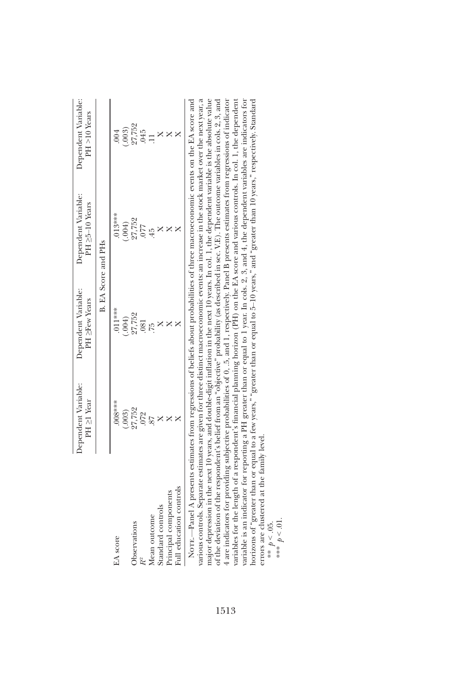|                         | Dependent Variable:<br>PH ≥1 Year                                                                                                                                                                                                                                                               | Dependent Variable:<br>PH >Few Years | Dependent Variable:<br>PH ≥5-10 Years | Dependent Variable:<br>PH >10 Years |
|-------------------------|-------------------------------------------------------------------------------------------------------------------------------------------------------------------------------------------------------------------------------------------------------------------------------------------------|--------------------------------------|---------------------------------------|-------------------------------------|
|                         |                                                                                                                                                                                                                                                                                                 |                                      | B. EA Score and PHs                   |                                     |
| EA score                | ****008<br>(.003)                                                                                                                                                                                                                                                                               | $011***$<br>(.004)                   | 013***<br>(.004)                      | (0.003)                             |
| Observations            | 27,752                                                                                                                                                                                                                                                                                          | 27,752                               | 27,752                                | 27,752                              |
|                         | .072                                                                                                                                                                                                                                                                                            | 081                                  | 777                                   | .045                                |
| Mean outcome            |                                                                                                                                                                                                                                                                                                 |                                      | 45                                    |                                     |
| Standard controls       |                                                                                                                                                                                                                                                                                                 |                                      |                                       |                                     |
| Principal components    |                                                                                                                                                                                                                                                                                                 |                                      |                                       |                                     |
| Full education controls |                                                                                                                                                                                                                                                                                                 |                                      |                                       |                                     |
|                         | Norr.—Panel A presents estimates from regressions of beliefs about probabilities of three macroeconomic events on the EA score and<br>various controls. Separate estimates are given for three distinct macroeconomic events: an increase in the stock market over the next year, a             |                                      |                                       |                                     |
|                         | of the degigion of the respondent's helief from an "objective" probability (as described in sec. VF). The outcome variables in cols. 9.8 and<br>major depression in the next 10 years, and double-digit inflation in the next 10 years. In col. 1, the dependent variable is the absolute value |                                      |                                       |                                     |
|                         |                                                                                                                                                                                                                                                                                                 |                                      |                                       |                                     |

various controls. Separate estimates are given for three distinct macroeconomic events: an increase in the stock market over the next year, a<br>major depression in the next 10 years, and double-digit inflation in the next 1 variable is an indicator for reporting a PH greater than or equal to 1 year. In cols, 2, 3, and 4, the dependent variables are indicators for horizons of "greater than or equal to a few years," "greater than or equal to 1 various controls. Separate estimates are given for three distinct macroeconomic events: an increase in the stock market over the next year, a variables for the length of a respondent's financial planning horizon (PH) on the EA score and various controls. In col. 1, the dependent major depression in the next 10 years, and double-digit inflation in the next 10 years. In col. 1, the dependent variable is the absolute value of the deviation of the respondent's belief from an "objective" probability (as described in sec. V.E). The outcome variables in cols. 2, 3, and 4 are indicators for providing subjective probabilities of 0, .5, and 1, respectively. Panel B presents estimates from regressions of indicator variables for the length of a respondent's financial planning horizon (PH) on the EA score and various controls. In col. 1, the dependent variable is an indicator for reporting a PH greater than or equal to 1 year. In cols. 2, 3, and 4, the dependent variables are indicators for horizons of "greater than or equal to a few years," "greater than or equal to 5–10 years," and "greater than 10 years," respectively. Standard errors are clustered at the family level.

1513

\*\*  $p < .05$ .<br>\*\*\*  $p < .01$ .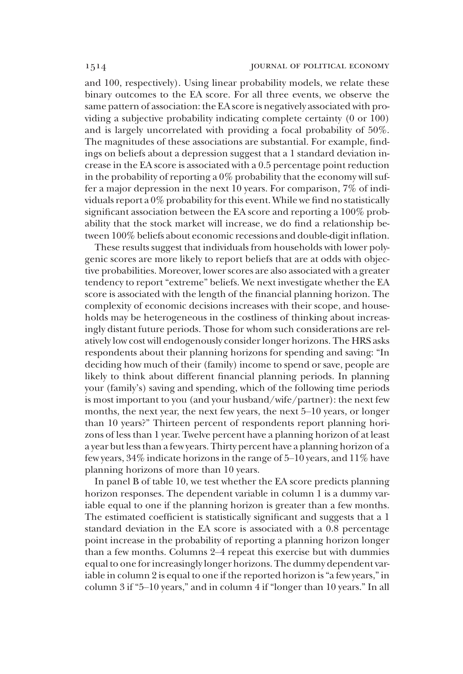and 100, respectively). Using linear probability models, we relate these binary outcomes to the EA score. For all three events, we observe the same pattern of association: the EA score is negatively associated with providing a subjective probability indicating complete certainty (0 or 100) and is largely uncorrelated with providing a focal probability of 50%. The magnitudes of these associations are substantial. For example, findings on beliefs about a depression suggest that a 1 standard deviation increase in the EA score is associated with a 0.5 percentage point reduction in the probability of reporting a 0% probability that the economy will suffer a major depression in the next 10 years. For comparison, 7% of individuals report a 0% probability for this event. While we find no statistically significant association between the EA score and reporting a 100% probability that the stock market will increase, we do find a relationship between 100% beliefs about economic recessions and double-digit inflation.

These results suggest that individuals from households with lower polygenic scores are more likely to report beliefs that are at odds with objective probabilities. Moreover, lower scores are also associated with a greater tendency to report "extreme" beliefs. We next investigate whether the EA score is associated with the length of the financial planning horizon. The complexity of economic decisions increases with their scope, and households may be heterogeneous in the costliness of thinking about increasingly distant future periods. Those for whom such considerations are relatively low cost will endogenously consider longer horizons. The HRS asks respondents about their planning horizons for spending and saving: "In deciding how much of their (family) income to spend or save, people are likely to think about different financial planning periods. In planning your (family's) saving and spending, which of the following time periods is most important to you (and your husband/wife/partner): the next few months, the next year, the next few years, the next 5–10 years, or longer than 10 years?" Thirteen percent of respondents report planning horizons of less than 1 year. Twelve percent have a planning horizon of at least a year but less than a few years. Thirty percent have a planning horizon of a few years, 34% indicate horizons in the range of 5–10 years, and 11% have planning horizons of more than 10 years.

In panel B of table 10, we test whether the EA score predicts planning horizon responses. The dependent variable in column 1 is a dummy variable equal to one if the planning horizon is greater than a few months. The estimated coefficient is statistically significant and suggests that a 1 standard deviation in the EA score is associated with a 0.8 percentage point increase in the probability of reporting a planning horizon longer than a few months. Columns 2–4 repeat this exercise but with dummies equal to one for increasingly longer horizons. The dummy dependent variable in column 2 is equal to one if the reported horizon is "a few years," in column 3 if "5–10 years," and in column 4 if "longer than 10 years." In all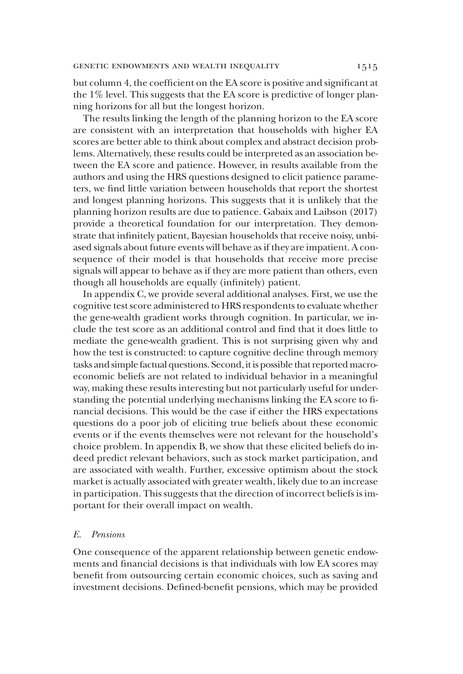but column 4, the coefficient on the EA score is positive and significant at the 1% level. This suggests that the EA score is predictive of longer planning horizons for all but the longest horizon.

The results linking the length of the planning horizon to the EA score are consistent with an interpretation that households with higher EA scores are better able to think about complex and abstract decision problems. Alternatively, these results could be interpreted as an association between the EA score and patience. However, in results available from the authors and using the HRS questions designed to elicit patience parameters, we find little variation between households that report the shortest and longest planning horizons. This suggests that it is unlikely that the planning horizon results are due to patience. Gabaix and Laibson (2017) provide a theoretical foundation for our interpretation. They demonstrate that infinitely patient, Bayesian households that receive noisy, unbiased signals about future events will behave as if they are impatient. A consequence of their model is that households that receive more precise signals will appear to behave as if they are more patient than others, even though all households are equally (infinitely) patient.

In appendix C, we provide several additional analyses. First, we use the cognitive test score administered to HRS respondents to evaluate whether the gene-wealth gradient works through cognition. In particular, we include the test score as an additional control and find that it does little to mediate the gene-wealth gradient. This is not surprising given why and how the test is constructed: to capture cognitive decline through memory tasks and simple factual questions. Second, it is possible that reported macroeconomic beliefs are not related to individual behavior in a meaningful way, making these results interesting but not particularly useful for understanding the potential underlying mechanisms linking the EA score to financial decisions. This would be the case if either the HRS expectations questions do a poor job of eliciting true beliefs about these economic events or if the events themselves were not relevant for the household's choice problem. In appendix B, we show that these elicited beliefs do indeed predict relevant behaviors, such as stock market participation, and are associated with wealth. Further, excessive optimism about the stock market is actually associated with greater wealth, likely due to an increase in participation. This suggests that the direction of incorrect beliefs is important for their overall impact on wealth.

# *E. Pensions*

One consequence of the apparent relationship between genetic endowments and financial decisions is that individuals with low EA scores may benefit from outsourcing certain economic choices, such as saving and investment decisions. Defined-benefit pensions, which may be provided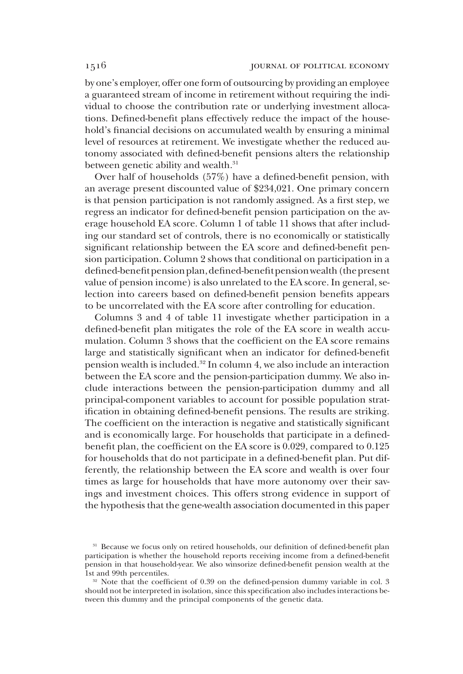by one's employer, offer one form of outsourcing by providing an employee a guaranteed stream of income in retirement without requiring the individual to choose the contribution rate or underlying investment allocations. Defined-benefit plans effectively reduce the impact of the household's financial decisions on accumulated wealth by ensuring a minimal level of resources at retirement. We investigate whether the reduced autonomy associated with defined-benefit pensions alters the relationship between genetic ability and wealth.<sup>31</sup>

Over half of households (57%) have a defined-benefit pension, with an average present discounted value of \$234,021. One primary concern is that pension participation is not randomly assigned. As a first step, we regress an indicator for defined-benefit pension participation on the average household EA score. Column 1 of table 11 shows that after including our standard set of controls, there is no economically or statistically significant relationship between the EA score and defined-benefit pension participation. Column 2 shows that conditional on participation in a defined-benefit pension plan, defined-benefit pension wealth (the present value of pension income) is also unrelated to the EA score. In general, selection into careers based on defined-benefit pension benefits appears to be uncorrelated with the EA score after controlling for education.

Columns 3 and 4 of table 11 investigate whether participation in a defined-benefit plan mitigates the role of the EA score in wealth accumulation. Column 3 shows that the coefficient on the EA score remains large and statistically significant when an indicator for defined-benefit pension wealth is included.<sup>32</sup> In column 4, we also include an interaction between the EA score and the pension-participation dummy. We also include interactions between the pension-participation dummy and all principal-component variables to account for possible population stratification in obtaining defined-benefit pensions. The results are striking. The coefficient on the interaction is negative and statistically significant and is economically large. For households that participate in a definedbenefit plan, the coefficient on the EA score is 0.029, compared to 0.125 for households that do not participate in a defined-benefit plan. Put differently, the relationship between the EA score and wealth is over four times as large for households that have more autonomy over their savings and investment choices. This offers strong evidence in support of the hypothesis that the gene-wealth association documented in this paper

<sup>&</sup>lt;sup>31</sup> Because we focus only on retired households, our definition of defined-benefit plan participation is whether the household reports receiving income from a defined-benefit pension in that household-year. We also winsorize defined-benefit pension wealth at the 1st and 99th percentiles.

<sup>&</sup>lt;sup>32</sup> Note that the coefficient of 0.39 on the defined-pension dummy variable in col. 3 should not be interpreted in isolation, since this specification also includes interactions between this dummy and the principal components of the genetic data.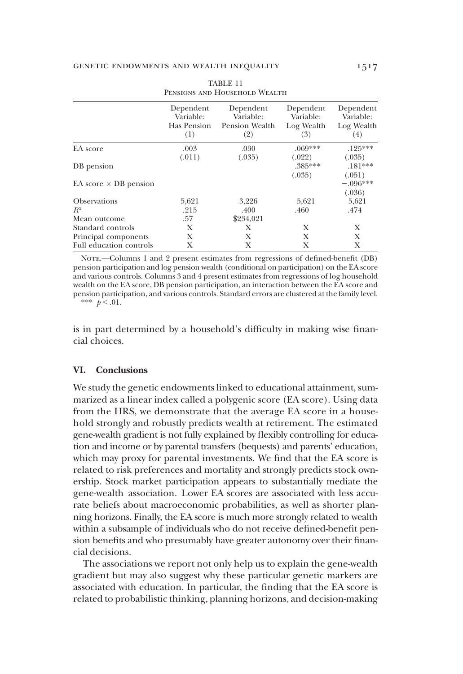| PENSIONS AND HOUSEHOLD WEALTH |                                              |                                                 |                                             |                                             |  |  |
|-------------------------------|----------------------------------------------|-------------------------------------------------|---------------------------------------------|---------------------------------------------|--|--|
|                               | Dependent<br>Variable:<br>Has Pension<br>(1) | Dependent<br>Variable:<br>Pension Wealth<br>(2) | Dependent<br>Variable:<br>Log Wealth<br>(3) | Dependent<br>Variable:<br>Log Wealth<br>(4) |  |  |
| EA score                      | .003<br>(.011)                               | .030<br>(.035)                                  | $.069***$<br>(.022)                         | $.125***$<br>(.035)                         |  |  |
| DB pension                    |                                              |                                                 | .385***<br>(.035)                           | $.181***$<br>(.051)                         |  |  |
| EA score $\times$ DB pension  |                                              |                                                 |                                             | $-.096***$<br>(.036)                        |  |  |
| <b>Observations</b>           | 5,621                                        | 3,226                                           | 5,621                                       | 5,621                                       |  |  |
| $R^2$                         | .215                                         | .400                                            | .460                                        | .474                                        |  |  |
| Mean outcome                  | .57                                          | \$234,021                                       |                                             |                                             |  |  |
| Standard controls             | X                                            | Х                                               | X                                           | X                                           |  |  |
| Principal components          | Х                                            | X                                               | X                                           | X                                           |  |  |
| Full education controls       | Х                                            | Х                                               | Х                                           | X                                           |  |  |

TABLE 11 Pensions and Household Wealth

NOTE.—Columns 1 and 2 present estimates from regressions of defined-benefit (DB) pension participation and log pension wealth (conditional on participation) on the EA score and various controls. Columns 3 and 4 present estimates from regressions of log household wealth on the EA score, DB pension participation, an interaction between the EA score and pension participation, and various controls. Standard errors are clustered at the family level. \*\*\*  $p < .01$ .

is in part determined by a household's difficulty in making wise financial choices.

# VI. Conclusions

We study the genetic endowments linked to educational attainment, summarized as a linear index called a polygenic score (EA score). Using data from the HRS, we demonstrate that the average EA score in a household strongly and robustly predicts wealth at retirement. The estimated gene-wealth gradient is not fully explained by flexibly controlling for education and income or by parental transfers (bequests) and parents' education, which may proxy for parental investments. We find that the EA score is related to risk preferences and mortality and strongly predicts stock ownership. Stock market participation appears to substantially mediate the gene-wealth association. Lower EA scores are associated with less accurate beliefs about macroeconomic probabilities, as well as shorter planning horizons. Finally, the EA score is much more strongly related to wealth within a subsample of individuals who do not receive defined-benefit pension benefits and who presumably have greater autonomy over their financial decisions.

The associations we report not only help us to explain the gene-wealth gradient but may also suggest why these particular genetic markers are associated with education. In particular, the finding that the EA score is related to probabilistic thinking, planning horizons, and decision-making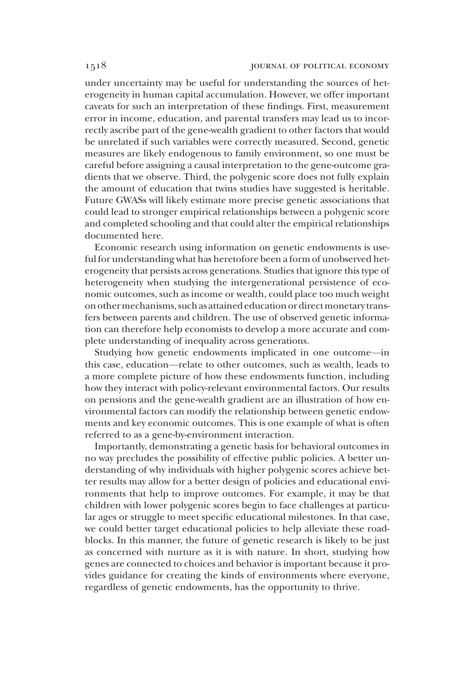under uncertainty may be useful for understanding the sources of heterogeneity in human capital accumulation. However, we offer important caveats for such an interpretation of these findings. First, measurement error in income, education, and parental transfers may lead us to incorrectly ascribe part of the gene-wealth gradient to other factors that would be unrelated if such variables were correctly measured. Second, genetic measures are likely endogenous to family environment, so one must be careful before assigning a causal interpretation to the gene-outcome gradients that we observe. Third, the polygenic score does not fully explain the amount of education that twins studies have suggested is heritable. Future GWASs will likely estimate more precise genetic associations that could lead to stronger empirical relationships between a polygenic score and completed schooling and that could alter the empirical relationships documented here.

Economic research using information on genetic endowments is useful for understanding what has heretofore been a form of unobserved heterogeneity that persists across generations. Studies that ignore this type of heterogeneity when studying the intergenerational persistence of economic outcomes, such as income or wealth, could place too much weight on othermechanisms, such as attained education or directmonetary transfers between parents and children. The use of observed genetic information can therefore help economists to develop a more accurate and complete understanding of inequality across generations.

Studying how genetic endowments implicated in one outcome—in this case, education—relate to other outcomes, such as wealth, leads to a more complete picture of how these endowments function, including how they interact with policy-relevant environmental factors. Our results on pensions and the gene-wealth gradient are an illustration of how environmental factors can modify the relationship between genetic endowments and key economic outcomes. This is one example of what is often referred to as a gene-by-environment interaction.

Importantly, demonstrating a genetic basis for behavioral outcomes in no way precludes the possibility of effective public policies. A better understanding of why individuals with higher polygenic scores achieve better results may allow for a better design of policies and educational environments that help to improve outcomes. For example, it may be that children with lower polygenic scores begin to face challenges at particular ages or struggle to meet specific educational milestones. In that case, we could better target educational policies to help alleviate these roadblocks. In this manner, the future of genetic research is likely to be just as concerned with nurture as it is with nature. In short, studying how genes are connected to choices and behavior is important because it provides guidance for creating the kinds of environments where everyone, regardless of genetic endowments, has the opportunity to thrive.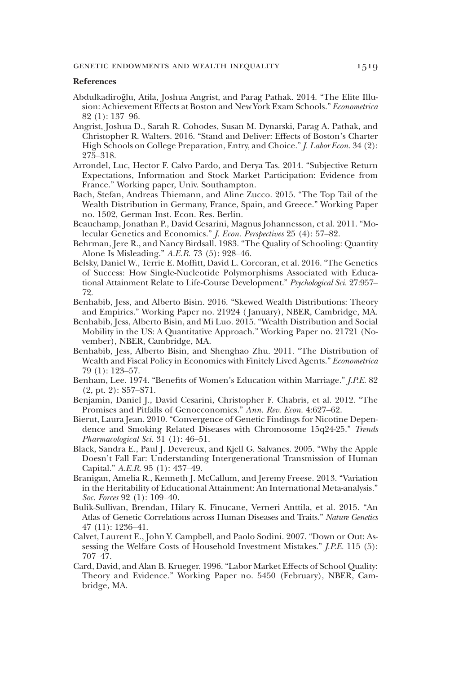#### References

- Abdulkadiroğlu, Atila, Joshua Angrist, and Parag Pathak. 2014. "The Elite Illusion: Achievement Effects at Boston and New York Exam Schools." *Econometrica* 82 (1): 137–96.
- Angrist, Joshua D., Sarah R. Cohodes, Susan M. Dynarski, Parag A. Pathak, and Christopher R. Walters. 2016. "Stand and Deliver: Effects of Boston's Charter High Schools on College Preparation, Entry, and Choice." *J. Labor Econ.* 34 (2): 275–318.
- Arrondel, Luc, Hector F. Calvo Pardo, and Derya Tas. 2014. "Subjective Return Expectations, Information and Stock Market Participation: Evidence from France." Working paper, Univ. Southampton.
- Bach, Stefan, Andreas Thiemann, and Aline Zucco. 2015. "The Top Tail of the Wealth Distribution in Germany, France, Spain, and Greece." Working Paper no. 1502, German Inst. Econ. Res. Berlin.
- Beauchamp, Jonathan P., David Cesarini, Magnus Johannesson, et al. 2011. "Molecular Genetics and Economics." *J. Econ. Perspectives* 25 (4): 57–82.
- Behrman, Jere R., and Nancy Birdsall. 1983. "The Quality of Schooling: Quantity Alone Is Misleading." *A.E.R.* 73 (5): 928–46.
- Belsky, Daniel W., Terrie E. Moffitt, David L. Corcoran, et al. 2016. "The Genetics of Success: How Single-Nucleotide Polymorphisms Associated with Educational Attainment Relate to Life-Course Development." *Psychological Sci.* 27:957– 72.
- Benhabib, Jess, and Alberto Bisin. 2016. "Skewed Wealth Distributions: Theory and Empirics." Working Paper no. 21924 ( January), NBER, Cambridge, MA.
- Benhabib, Jess, Alberto Bisin, and Mi Luo. 2015. "Wealth Distribution and Social Mobility in the US: A Quantitative Approach." Working Paper no. 21721 (November), NBER, Cambridge, MA.
- Benhabib, Jess, Alberto Bisin, and Shenghao Zhu. 2011. "The Distribution of Wealth and Fiscal Policy in Economies with Finitely Lived Agents." *Econometrica* 79 (1): 123–57.
- Benham, Lee. 1974. "Benefits of Women's Education within Marriage." *J.P.E.* 82 (2, pt. 2): S57–S71.
- Benjamin, Daniel J., David Cesarini, Christopher F. Chabris, et al. 2012. "The Promises and Pitfalls of Genoeconomics." *Ann. Rev. Econ.* 4:627–62.
- Bierut, Laura Jean. 2010. "Convergence of Genetic Findings for Nicotine Dependence and Smoking Related Diseases with Chromosome 15q24-25." *Trends Pharmacological Sci.* 31 (1): 46–51.
- Black, Sandra E., Paul J. Devereux, and Kjell G. Salvanes. 2005. "Why the Apple Doesn't Fall Far: Understanding Intergenerational Transmission of Human Capital." *A.E.R.* 95 (1): 437–49.
- Branigan, Amelia R., Kenneth J. McCallum, and Jeremy Freese. 2013. "Variation in the Heritability of Educational Attainment: An International Meta-analysis." *Soc. Forces* 92 (1): 109–40.
- Bulik-Sullivan, Brendan, Hilary K. Finucane, Verneri Anttila, et al. 2015. "An Atlas of Genetic Correlations across Human Diseases and Traits." *Nature Genetics* 47 (11): 1236–41.
- Calvet, Laurent E., John Y. Campbell, and Paolo Sodini. 2007. "Down or Out: Assessing the Welfare Costs of Household Investment Mistakes." *J.P.E.* 115 (5): 707–47.
- Card, David, and Alan B. Krueger. 1996. "Labor Market Effects of School Quality: Theory and Evidence." Working Paper no. 5450 (February), NBER, Cambridge, MA.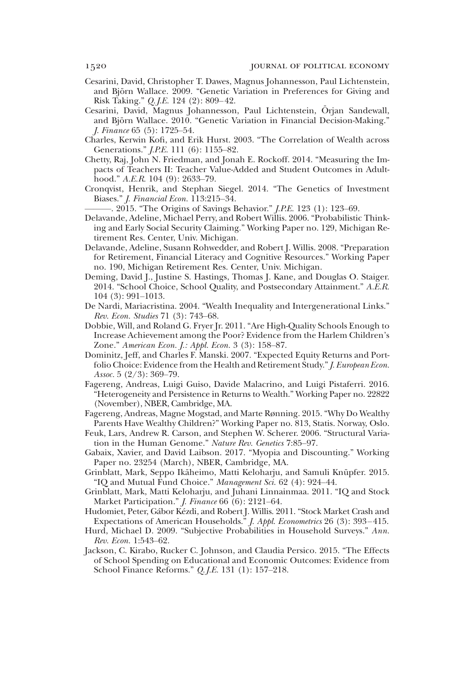- Cesarini, David, Christopher T. Dawes, Magnus Johannesson, Paul Lichtenstein, and Björn Wallace. 2009. "Genetic Variation in Preferences for Giving and Risk Taking." *Q. J.E.* 124 (2): 809–42.
- Cesarini, David, Magnus Johannesson, Paul Lichtenstein, Örjan Sandewall, and Björn Wallace. 2010. "Genetic Variation in Financial Decision-Making." *J. Finance* 65 (5): 1725–54.
- Charles, Kerwin Kofi, and Erik Hurst. 2003. "The Correlation of Wealth across Generations." *J.P.E.* 111 (6): 1155–82.
- Chetty, Raj, John N. Friedman, and Jonah E. Rockoff. 2014. "Measuring the Impacts of Teachers II: Teacher Value-Added and Student Outcomes in Adulthood." *A.E.R.* 104 (9): 2633–79.
- Cronqvist, Henrik, and Stephan Siegel. 2014. "The Genetics of Investment Biases." *J. Financial Econ.* 113:215–34.

———. 2015. "The Origins of Savings Behavior." *J.P.E.* 123 (1): 123–69.

- Delavande, Adeline, Michael Perry, and Robert Willis. 2006. "Probabilistic Thinking and Early Social Security Claiming." Working Paper no. 129, Michigan Retirement Res. Center, Univ. Michigan.
- Delavande, Adeline, Susann Rohwedder, and Robert J. Willis. 2008. "Preparation for Retirement, Financial Literacy and Cognitive Resources." Working Paper no. 190, Michigan Retirement Res. Center, Univ. Michigan.
- Deming, David J., Justine S. Hastings, Thomas J. Kane, and Douglas O. Staiger. 2014. "School Choice, School Quality, and Postsecondary Attainment." *A.E.R.* 104 (3): 991–1013.
- De Nardi, Mariacristina. 2004. "Wealth Inequality and Intergenerational Links." *Rev. Econ. Studies* 71 (3): 743–68.
- Dobbie, Will, and Roland G. Fryer Jr. 2011. "Are High-Quality Schools Enough to Increase Achievement among the Poor? Evidence from the Harlem Children's Zone." *American Econ. J.: Appl. Econ.* 3 (3): 158–87.
- Dominitz, Jeff, and Charles F. Manski. 2007. "Expected Equity Returns and Portfolio Choice: Evidence from the Health and Retirement Study."*J. European Econ. Assoc.* 5 (2/3): 369–79.
- Fagereng, Andreas, Luigi Guiso, Davide Malacrino, and Luigi Pistaferri. 2016. "Heterogeneity and Persistence in Returns to Wealth." Working Paper no. 22822 (November), NBER, Cambridge, MA.
- Fagereng, Andreas, Magne Mogstad, and Marte Rønning. 2015. "Why Do Wealthy Parents Have Wealthy Children?" Working Paper no. 813, Statis. Norway, Oslo.
- Feuk, Lars, Andrew R. Carson, and Stephen W. Scherer. 2006. "Structural Variation in the Human Genome." *Nature Rev. Genetics* 7:85–97.
- Gabaix, Xavier, and David Laibson. 2017. "Myopia and Discounting." Working Paper no. 23254 (March), NBER, Cambridge, MA.
- Grinblatt, Mark, Seppo Ikäheimo, Matti Keloharju, and Samuli Knüpfer. 2015. "IQ and Mutual Fund Choice." *Management Sci.* 62 (4): 924–44.
- Grinblatt, Mark, Matti Keloharju, and Juhani Linnainmaa. 2011. "IQ and Stock Market Participation." *J. Finance* 66 (6): 2121–64.
- Hudomiet, Peter, Gábor Kézdi, and Robert J. Willis. 2011. "Stock Market Crash and Expectations of American Households." *J. Appl. Econometrics* 26 (3): 393–415.
- Hurd, Michael D. 2009. "Subjective Probabilities in Household Surveys." *Ann. Rev. Econ.* 1:543–62.
- Jackson, C. Kirabo, Rucker C. Johnson, and Claudia Persico. 2015. "The Effects of School Spending on Educational and Economic Outcomes: Evidence from School Finance Reforms." *Q. J.E.* 131 (1): 157–218.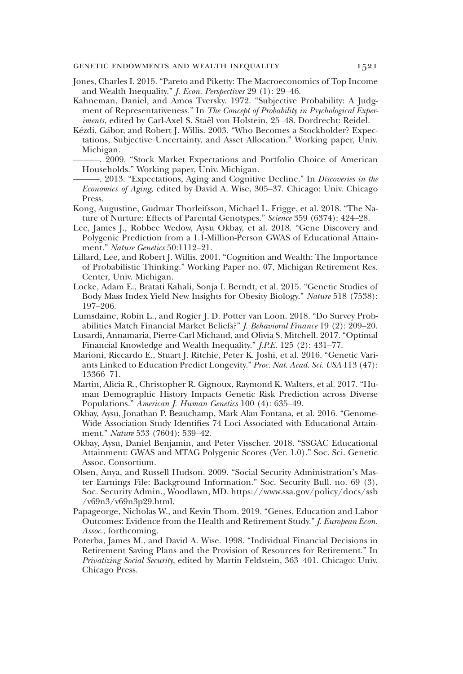- Jones, Charles I. 2015. "Pareto and Piketty: The Macroeconomics of Top Income and Wealth Inequality." *J. Econ. Perspectives* 29 (1): 29–46.
- Kahneman, Daniel, and Amos Tversky. 1972. "Subjective Probability: A Judgment of Representativeness." In *The Concept of Probability in Psychological Experiments*, edited by Carl-Axel S. Staël von Holstein, 25–48. Dordrecht: Reidel.
- Kézdi, Gábor, and Robert J. Willis. 2003. "Who Becomes a Stockholder? Expectations, Subjective Uncertainty, and Asset Allocation." Working paper, Univ. Michigan.
- ———. 2009. "Stock Market Expectations and Portfolio Choice of American Households." Working paper, Univ. Michigan.
- ———. 2013. "Expectations, Aging and Cognitive Decline." In *Discoveries in the Economics of Aging*, edited by David A. Wise, 305–37. Chicago: Univ. Chicago Press.
- Kong, Augustine, Gudmar Thorleifsson, Michael L. Frigge, et al. 2018. "The Nature of Nurture: Effects of Parental Genotypes." *Science* 359 (6374): 424–28.
- Lee, James J., Robbee Wedow, Aysu Okbay, et al. 2018. "Gene Discovery and Polygenic Prediction from a 1.1-Million-Person GWAS of Educational Attainment." *Nature Genetics* 50:1112–21.
- Lillard, Lee, and Robert J. Willis. 2001. "Cognition and Wealth: The Importance of Probabilistic Thinking." Working Paper no. 07, Michigan Retirement Res. Center, Univ. Michigan.
- Locke, Adam E., Bratati Kahali, Sonja I. Berndt, et al. 2015. "Genetic Studies of Body Mass Index Yield New Insights for Obesity Biology." *Nature* 518 (7538): 197–206.
- Lumsdaine, Robin L., and Rogier J. D. Potter van Loon. 2018. "Do Survey Probabilities Match Financial Market Beliefs?" *J. Behavioral Finance* 19 (2): 209–20.
- Lusardi, Annamaria, Pierre-Carl Michaud, and Olivia S. Mitchell. 2017. "Optimal Financial Knowledge and Wealth Inequality." *J.P.E.* 125 (2): 431–77.
- Marioni, Riccardo E., Stuart J. Ritchie, Peter K. Joshi, et al. 2016. "Genetic Variants Linked to Education Predict Longevity." *Proc. Nat. Acad. Sci. USA* 113 (47): 13366–71.
- Martin, Alicia R., Christopher R. Gignoux, Raymond K. Walters, et al. 2017. "Human Demographic History Impacts Genetic Risk Prediction across Diverse Populations." *American J. Human Genetics* 100 (4): 635–49.
- Okbay, Aysu, Jonathan P. Beauchamp, Mark Alan Fontana, et al. 2016. "Genome-Wide Association Study Identifies 74 Loci Associated with Educational Attainment." *Nature* 533 (7604): 539–42.
- Okbay, Aysu, Daniel Benjamin, and Peter Visscher. 2018. "SSGAC Educational Attainment: GWAS and MTAG Polygenic Scores (Ver. 1.0)." Soc. Sci. Genetic Assoc. Consortium.
- Olsen, Anya, and Russell Hudson. 2009. "Social Security Administration's Master Earnings File: Background Information." Soc. Security Bull. no. 69 (3), Soc. Security Admin., Woodlawn, MD. https://www.ssa.gov/policy/docs/ssb /v69n3/v69n3p29.html.
- Papageorge, Nicholas W., and Kevin Thom. 2019. "Genes, Education and Labor Outcomes: Evidence from the Health and Retirement Study." *J. European Econ. Assoc.*, forthcoming.
- Poterba, James M., and David A. Wise. 1998. "Individual Financial Decisions in Retirement Saving Plans and the Provision of Resources for Retirement." In *Privatizing Social Security*, edited by Martin Feldstein, 363–401. Chicago: Univ. Chicago Press.